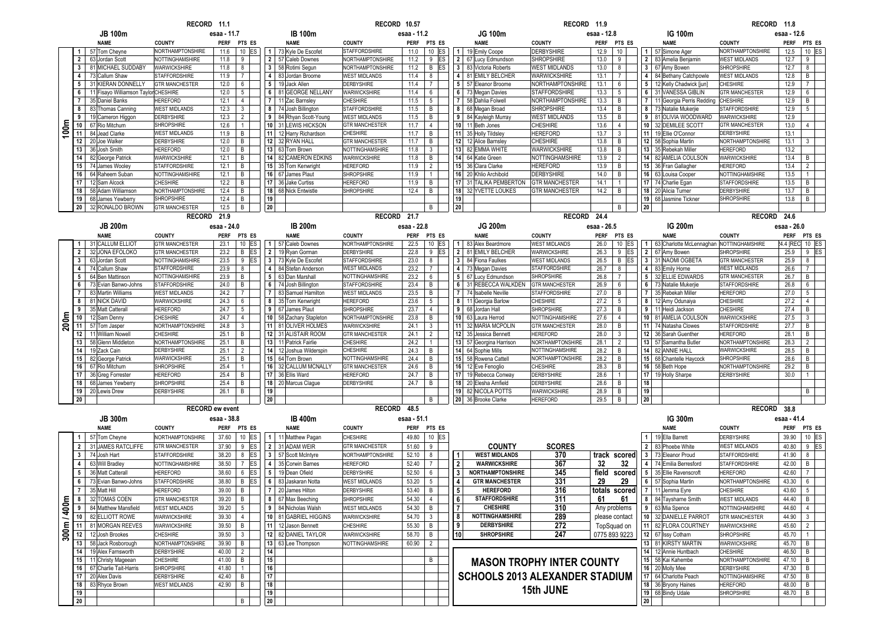|             |                       |                                                            | RECORD 11.1                                   |                |                     |                         |                                          | RECORD 10.57                                 |              |                                   |                     |                                            | RECORD 11.9                                   |              |                |    |                                                  | RECORD 11.8                               |                 |                                   |
|-------------|-----------------------|------------------------------------------------------------|-----------------------------------------------|----------------|---------------------|-------------------------|------------------------------------------|----------------------------------------------|--------------|-----------------------------------|---------------------|--------------------------------------------|-----------------------------------------------|--------------|----------------|----|--------------------------------------------------|-------------------------------------------|-----------------|-----------------------------------|
|             |                       | <b>JB 100m</b>                                             |                                               | esaa - 11.7    |                     |                         | <b>IB 100m</b>                           |                                              | esaa - 11.2  |                                   |                     | JG 100m                                    |                                               | esaa - 12.8  |                |    | <b>IG 100m</b>                                   |                                           | esaa - 12.6     |                                   |
|             |                       | NAME                                                       | <b>COUNTY</b>                                 | <b>PERF</b>    | PTS ES              |                         | <b>NAME</b>                              | <b>COUNTY</b>                                | <b>PERF</b>  | PTS ES                            |                     | <b>NAME</b>                                | <b>COUNTY</b>                                 |              | PERF PTS ES    |    | <b>NAME</b>                                      | <b>COUNTY</b>                             | <b>PERF</b>     | PTS ES                            |
|             | $\mathbf{1}$          | 57 Tom Cheyne                                              | NORTHAMPTONSHIRE                              | 11.6           | $10$ ES             | $\overline{1}$          | 73 Kyle De Escofet                       | <b>STAFFORDSHIRE</b>                         | 11.0         | $10$ ES                           | 1                   | 19 Emily Coope                             | <b>DERBYSHIRE</b>                             | 12.9         | 10             |    | 1 57 Simone Ager                                 | <b>NORTHAMPTONSHIRE</b>                   | 12.5            | 10 ES                             |
|             | $\overline{2}$        | 63 Jordan Scott                                            | NOTTINGHAMSHIRE                               | 11.8           | 9                   | $\overline{2}$          | 57 Caleb Downes                          | NORTHAMPTONSHIRE                             | 11.2         | 9<br>ES                           | $\overline{2}$      | 67 Lucy Edmundson                          | <b>SHROPSHIRE</b>                             | 13.0         | 9              |    | 2 83 Amelia Benjamin                             | <b>WEST MIDLANDS</b>                      | 12.7            | 9                                 |
|             | $\mathbf{3}$          | 81 MICHAEL SUDDABY                                         | WARWICKSHIRE                                  | 11.8           | 8                   | 3                       | 58 Rotimi Segun                          | NORTHAMPTONSHIRE                             | 11.2         | B ES                              | 3                   | 83 Victoria Roberts                        | <b>WEST MIDLANDS</b>                          | 13.0         | 8              |    | 3 67 Amy Bowen                                   | <b>SHROPSHIRE</b>                         | 12.7            | 8                                 |
|             | $\overline{4}$        | 73 Callum Shaw                                             | <b>STAFFORDSHIRE</b><br><b>GTR MANCHESTER</b> | 11.9           | $\overline{7}$      | $\overline{4}$          | 83 Jordan Broome                         | <b>WEST MIDLANDS</b>                         | 11.4         | 8                                 | 4 <sup>1</sup>      | 81 EMILY BELCHER                           | WARWICKSHIRE                                  | 13.1         | $\overline{7}$ |    | 4 84 Bethany Catchpowle                          | <b>WEST MIDLANDS</b>                      | 12.8            | B                                 |
|             | 5 <sup>5</sup><br>6   | 31 KIERAN DONNELLY<br>11 Fisavo Williamson Tavlor CHESHIRE |                                               | 12.0<br>12.0   | 6<br>5              | 5<br>6                  | 19 Jack Allen<br>81 GEORGE NELLANY       | DERBYSHIRE<br>WARWICKSHIRE                   | 11.4<br>11.4 | $\overline{7}$<br>$6\overline{6}$ | 5 <sub>5</sub><br>6 | 57 Eleanor Broome<br>73 Megan Davies       | NORTHAMPTONSHIRE<br><b>STAFFORDSHIRE</b>      | 13.1<br>13.3 | 6<br>5         |    | 5 12 Kelly Chadwick [jun]<br>6 31 VANESSA GIBLIN | <b>CHESHIRE</b><br><b>GTR MANCHESTER</b>  | 12.9<br>12.9    | $\overline{7}$<br>$6\overline{6}$ |
|             | $\overline{7}$        | 35 Daniel Banks                                            | <b>HEREFORD</b>                               | 12.1           | $\overline{4}$      | $\overline{7}$          | 11 Zac Barnsley                          | CHESHIRE                                     | 11.5         | $5\overline{)}$                   | $\overline{7}$      | 58 Dahlia Folwell                          | NORTHAMPTONSHIRE                              | 13.3         | В              |    | 7   11 Georgia Perris Redding                    | <b>CHESHIRE</b>                           | 12.9            | В                                 |
|             | 8                     | 83 Thomas Canning                                          | <b>WEST MIDLANDS</b>                          | 12.3           | $\mathbf{3}$        | 8                       | 74 Josh Billington                       | <b>STAFFORDSHIRE</b>                         | 11.5         | B                                 | 8                   | 68 Megan Broad                             | <b>SHROPSHIRE</b>                             | 13.4         | B              |    | 8 73 Natalie Mukerjie                            | <b>STAFFORDSHIRE</b>                      | 12.9            | 5                                 |
|             |                       | 19 Cameron Higgon                                          | DERBYSHIRE                                    | 12.3           | $\overline{2}$      | 9                       | 84 Rhyan Scott-Young                     | <b>WEST MIDLANDS</b>                         | 11.5         | $\,$ B                            | 9                   | 84 Kayleigh Murray                         | <b>WEST MIDLANDS</b>                          | 13.5         | B              |    | 9 81 OLIVIA WOODWARD                             | WARWICKSHIRE                              | 12.9            |                                   |
|             | 10 <sub>1</sub>       | 67 Rio Mitchum                                             | <b>SHROPSHIRE</b>                             | 12.6           | $\overline{1}$      | 10                      | 31 LEWIS HICKSON                         | <b>GTR MANCHESTER</b>                        | 11.7         | $\overline{4}$                    | 10 <sup>1</sup>     | 11 Beth Jones                              | <b>CHESHIRE</b>                               | 13.6         | $\overline{4}$ |    | 10 32 DEMILEE SCOTT                              | <b>GTR MANCHESTER</b>                     | 13.0            | $\overline{4}$                    |
| 100m        | 11                    | 84 Jead Clarke                                             | <b>WEST MIDLANDS</b>                          | 11.9           | B                   | 11                      | 12 Harry Richardson                      | <b>CHESHIRE</b>                              | 11.7         | B                                 |                     | 11 35 Holly Tildsley                       | <b>HEREFORD</b>                               | 13.7         | $\mathbf{3}$   |    | 11 19 Ellie O'Connor                             | <b>DERBYSHIRE</b>                         | 13.1            |                                   |
|             | 12                    | 20 Joe Walker                                              | DERBYSHIRE                                    | 12.0           | В                   | 12                      | 32 RYAN HALL                             | <b>GTR MANCHESTER</b>                        | 11.7         | B                                 | 12 <sup>1</sup>     | 12 Alice Barnsley                          | <b>CHESHIRE</b>                               | 13.8         | В              |    | 12 58 Sophia Martin                              | NORTHAMPTONSHIRE                          | 13.1            | $\mathbf{3}$                      |
|             | 13                    | 36 Josh Smith                                              | <b>HEREFORD</b>                               | 12.0           | B                   | 13                      | 63 Tom Brown                             | NOTTINGHAMSHIRE                              | 11.8         | $\mathbf{3}$                      |                     | 13 82 EMMA WHITE                           | WARWICKSHIRE                                  | 13.8         | B              |    | 13 35 Rebekah Miller                             | <b>HEREFORD</b>                           | 13.2            |                                   |
|             | 14                    | 82 George Patrick                                          | WARWICKSHIRE                                  | 12.1           | B                   | 14                      | 82 CAMERON EDKINS                        | WARWICKSHIRE                                 | 11.8         | $\,$ B                            | 14                  | 64 Katie Green                             | NOTTINGHAMSHIRE                               | 13.9         | $\overline{2}$ |    | 14 82 AMELIA COULSON                             | WARWICKSHIRE                              | 13.4            | B                                 |
|             | 15                    | 74 James Wooley                                            | <b>STAFFORDSHIRE</b>                          | 12.1<br>12.1   | B<br>B              | 16                      | 15 35 Tom Kenwright                      | <b>HEREFORD</b><br><b>SHROPSHIRE</b>         | 11.9<br>11.9 | $\overline{2}$<br>$\overline{1}$  | 16                  | 15 36 Clara Clarke<br>20 Khlio Archibold   | <b>HEREFORD</b><br><b>DERBYSHIRE</b>          | 13.9<br>14.0 | В<br>B         |    | 15 36 Fran Gallagher                             | <b>HEREFORD</b><br><b>NOTTINGHAMSHIRE</b> | 13.4<br>13.5    | $\overline{2}$<br>$\mathbf{1}$    |
|             | 16<br>17              | 64 Raheem Suban<br>12 Sam Alcock                           | NOTTINGHAMSHIRE<br><b>CHESHIRE</b>            | 12.2           | B                   | 17                      | 67 James Plaut<br>36 Jake Curtiss        | <b>HEREFORD</b>                              | 11.9         | B                                 | 17 <sup>1</sup>     | 31 TALIKA PEMBERTON                        | <b>GTR MANCHESTER</b>                         | 14.1         | $\mathbf{1}$   |    | 16 63 Louisa Cooper<br>17 74 Charlie Egan        | <b>STAFFORDSHIRE</b>                      | 13.5            | B                                 |
|             | 18                    | 58 Adam Williamson                                         | NORTHAMPTONSHIRE                              | 12.4           | B                   | 18                      | 68 Nick Entwistle                        | <b>SHROPSHIRE</b>                            | 12.4         | B                                 |                     | 18 32 YVETTE LOUKES                        | <b>GTR MANCHESTER</b>                         | 14.2         | B              |    | 18 20 Alicia Turner                              | <b>DERBYSHIRE</b>                         | 13.7            | B                                 |
|             | 19                    | 68 James Yewberry                                          | <b>SHROPSHIRE</b>                             | 12.4           | В                   | 19                      |                                          |                                              |              |                                   | 19                  |                                            |                                               |              |                |    | 19 68 Jasmine Tickner                            | <b>SHROPSHIRE</b>                         | 13.8            | B                                 |
|             | 20 <sup>1</sup>       | 32 RONALDO BROWN                                           | <b>GTR MANCHESTER</b>                         | 12.5           | B                   | ${\bf 20}$              |                                          |                                              |              | B                                 | 20                  |                                            |                                               |              | B              | 20 |                                                  |                                           |                 |                                   |
|             |                       |                                                            | RECORD 21.9                                   |                |                     |                         |                                          | RECORD 21.7                                  |              |                                   |                     |                                            | RECORD 24.4                                   |              |                |    |                                                  | RECORD 24.6                               |                 |                                   |
|             |                       | <b>JB 200m</b>                                             |                                               | esaa - 24.0    |                     |                         | <b>IB 200m</b>                           |                                              | esaa - 22.8  |                                   |                     | JG 200m                                    |                                               | esaa - 26.5  |                |    | <b>IG 200m</b>                                   |                                           | esaa - 26.0     |                                   |
|             |                       | <b>NAME</b>                                                | <b>COUNTY</b>                                 | <b>PERF</b>    | PTS ES              |                         | <b>NAME</b>                              | <b>COUNTY</b>                                | <b>PERF</b>  | PTS ES                            |                     | <b>NAME</b>                                | <b>COUNTY</b>                                 | PERF         | PTS ES         |    | <b>NAME</b>                                      | <b>COUNTY</b>                             | <b>PERF</b>     | PTS ES                            |
|             | $\mathbf{1}$          | 31 CALLUM ELLIOT                                           | <b>GTR MANCHESTER</b>                         | 23.1           | 10 ES               | $\mathbf{1}$            | 57 Caleb Downes                          | <b>NORTHAMPTONSHIRE</b>                      | 22.5         | 10 ES                             | $\overline{1}$      | 83 Alex Beardmore                          | <b>WEST MIDLANDS</b>                          | 26.0         | 10 ES          |    | 1 63 Charlotte McLennaghan NOTTINGHAMSHIRE       |                                           | 24.4 [REC 10 ES |                                   |
|             | $\overline{2}$        | 32 JONA EFOLOKO                                            | <b>GTR MANCHESTER</b>                         | 23.2           | В<br>ES             | $\overline{2}$          | 19 Ryan Gorman                           | <b>DERBYSHIRE</b>                            | 22.8         | 9<br>ES                           | $\overline{2}$      | 81 EMILY BELCHER                           | WARWICKSHIRE                                  | 26.3         | 9<br>ES        |    | 2 67 Amy Bowen                                   | SHROPSHIRE                                | 25.9            | 9 ES                              |
|             | 3 <sup>1</sup>        | 63 Jordan Scott                                            | NOTTINGHAMSHIRE                               | 23.5           | $9$ ES              | 3                       | 73 Kyle De Escofet                       | STAFFORDSHIRE                                | 23.0         | 8                                 | 3 <sup>1</sup>      | 84 Fiona Faulkes                           | <b>WEST MIDLANDS</b>                          | 26.5         | B ES           |    | 3 31 NAOMI OGBETA                                | <b>GTR MANCHESTER</b>                     | 25.9            | 8                                 |
|             | $\overline{4}$        | 74 Callum Shaw                                             | <b>STAFFORDSHIRE</b>                          | 23.9           | 8                   | 4                       | 84 Stefan Anderson                       | <b>WEST MIDLANDS</b>                         | 23.2         | $\overline{7}$                    | $\overline{4}$      | 73 Megan Davies                            | <b>STAFFORDSHIRE</b>                          | 26.7         | 8              |    | 4 83 Emily Horne                                 | <b>WEST MIDLANDS</b>                      | 26.6            | $\overline{7}$                    |
|             | $5^{\circ}$           | 64 Ben Mattinson                                           | NOTTINGHAMSHIRE                               | 23.9           | B                   | 5                       | 63 Dan Marshall                          | NOTTINGHAMSHIRE                              | 23.2         | 6                                 | 5                   | 67 Lucy Edmundson                          | <b>SHROPSHIRE</b>                             | 26.8         | $\overline{7}$ |    | 5 32 ELLIE EDWARDS                               | <b>GTR MANCHESTER</b>                     | 26.7            | В                                 |
|             | 6<br>$\overline{7}$   | 73 Evian Banwo-Johns<br>83 Martin Williams                 | <b>STAFFORDSHIRE</b><br><b>WEST MIDLANDS</b>  | 24.0<br>24.2   | B<br>$\overline{7}$ | 6<br>$\overline{7}$     | 74 Josh Billington<br>83 Samuel Hamilton | <b>STAFFORDSHIRE</b><br><b>WEST MIDLANDS</b> | 23.4<br>23.5 | B<br>B                            | 6<br>7 <sup>1</sup> | 31 REBECCA WALKDEN<br>74 Isabelle Neville  | <b>GTR MANCHESTER</b><br><b>STAFFORDSHIRE</b> | 26.9<br>27.0 | 6<br>B         |    | 6 73 Natalie Mukerjie<br>7 35 Rebekah Miller     | <b>STAFFORDSHIRE</b><br><b>HEREFORD</b>   | 26.8<br>27.0    | 6<br>5                            |
|             | 8                     | 81 NICK DAVID                                              | WARWICKSHIRE                                  | 24.3           | 6                   | 8                       | 35 Tom Kenwright                         | <b>HEREFORD</b>                              | 23.6         | $5\overline{)}$                   |                     | 8 11 Georgia Barlow                        | <b>CHESHIRE</b>                               | 27.2         | 5              |    | 8 12 Amy Odunaiya                                | <b>CHESHIRE</b>                           | 27.2            | $\overline{4}$                    |
|             | 9                     | 35 Matt Catterall                                          | <b>HEREFORD</b>                               | 24.7           | 5 <sup>5</sup>      | 9                       | 67 James Plaut                           | <b>SHROPSHIRE</b>                            | 23.7         | $\overline{4}$                    | 9                   | 68 Jordan Hall                             | <b>SHROPSHIRE</b>                             | 27.3         | B              |    | 9 11 Heidi Jackson                               | <b>CHESHIRE</b>                           | 27.4            | B                                 |
| 200m        | 10 <sup>1</sup>       | 12 Sam Denny                                               | <b>CHESHIRE</b>                               | 24.7           | $\overline{4}$      |                         | 10 58 Zachary Stapleton                  | NORTHAMPTONSHIRE                             | 23.8         | B                                 |                     | 10 63 Laura Herrod                         | NOTTINGHAMSHIRE                               | 27.6         | $\overline{4}$ |    | 10 81 AMELIA COULSON                             | WARWICKSHIRE                              | 27.5            | $\mathbf{3}$                      |
|             | 11                    | 57 Tom Jasper                                              | NORTHAMPTONSHIRE                              | 24.8           | $\mathbf{3}$        | 11                      | 81 OLIVER HOLMES                         | <b>WARWICKSHIRE</b>                          | 24.1         | $\mathbf{3}$                      |                     | 11 32 MARIA MCPOLIN                        | <b>GTR MANCHESTER</b>                         | 28.0         | B              |    | 11 74 Natasha Clowes                             | <b>STAFFORDSHIRE</b>                      | 27.7            | B                                 |
|             | 12                    | 11 William Nowel                                           | CHESHIRE                                      | 25.1           | B                   |                         | 12 31 ALISTAIR ROOM                      | <b>GTR MANCHESTER</b>                        | 24.1         | $\overline{2}$                    |                     | 12 35 Jessica Bennett                      | <b>HEREFORD</b>                               | 28.0         | 3              |    | 12 36 Sarah Guenther                             | <b>HEREFORD</b>                           | 28.1            | B                                 |
|             | 13                    | 58 Glenn Middleton                                         | NORTHAMPTONSHIRE                              | 25.1           | B                   |                         | 13 11 Patrick Fairlie                    | <b>CHESHIRE</b>                              | 24.2         | $\overline{1}$                    |                     | 13 57 Georgina Harrison                    | NORTHAMPTONSHIRE                              | 28.1         | $\overline{2}$ |    | 13 57 Samantha Butler                            | <b>NORTHAMPTONSHIRE</b>                   | 28.3            | $\overline{2}$                    |
|             | 14                    | 19 Zack Cain                                               | DERBYSHIRE                                    | 25.1           | $\overline{2}$      | 14                      | 12 Joshua Wilderspin                     | CHESHIRE                                     | 24.3         | B                                 | 14                  | 64 Sophie Mills                            | NOTTINGHAMSHIRE                               | 28.2         | B              |    | 14 82 ANNIE HALL                                 | WARWICKSHIRE                              | 28.5            | B                                 |
|             | 15                    | 82 George Patrick                                          | WARWICKSHIRE<br><b>SHROPSHIRE</b>             | 25.1<br>25.4   | B                   | 15 <sup>1</sup><br>16   | 64 Tom Brown<br>32 CALLUM MCNALLY        | NOTTINGHAMSHIRE<br><b>GTR MANCHESTER</b>     | 24.4<br>24.6 | B                                 | 15                  | 58 Rowena Cattell                          | NORTHAMPTONSHIRE<br><b>CHESHIRE</b>           | 28.2         | B<br>B         |    | 15 68 Chantelle Haycock                          | <b>SHROPSHIRE</b><br>NORTHAMPTONSHIRE     | 28.6<br>29.2    | B<br>B                            |
|             | 16<br>17 <sub>2</sub> | 67 Rio Mitchum<br>36 Greg Forrester                        | <b>HEREFORD</b>                               | 25.4           | В                   | 17                      | 36 Ellis Ward                            | <b>HEREFORD</b>                              | 24.7         | B<br>B                            |                     | 16 12 Eve Fenoglio<br>17 19 Rebecca Conway | <b>DERBYSHIRE</b>                             | 28.3<br>28.6 | $\mathbf{1}$   |    | 16 58 Beth Hope<br>17 19 Holly Sharpe            | <b>DERBYSHIRE</b>                         | 30.0            | $\mathbf{1}$                      |
|             | 18                    | 68 James Yewberry                                          | <b>SHROPSHIRE</b>                             | 25.4           | B                   | 18                      | 20 Marcus Claque                         | <b>DERBYSHIRE</b>                            | 24.7         | B                                 | 18 <sup>1</sup>     | 20 Elesha Arnfield                         | <b>DERBYSHIRE</b>                             | 28.6         | В              | 18 |                                                  |                                           |                 |                                   |
|             | 19                    | 20 Lewis Drew                                              | <b>DERBYSHIRE</b>                             | 26.1           | B                   | 19                      |                                          |                                              |              |                                   |                     | 19 82 NICOLA POTTS                         | WARWICKSHIRE                                  | 28.9         | B              | 19 |                                                  |                                           |                 | B                                 |
|             | 20                    |                                                            |                                               |                |                     | 20                      |                                          |                                              |              | B                                 |                     | 20 36 Brooke Clarke                        | <b>HEREFORD</b>                               | 29.5         | B              | 20 |                                                  |                                           |                 |                                   |
|             |                       |                                                            | <b>RECORD</b> ew event                        |                |                     |                         |                                          | RECORD 48.5                                  |              |                                   |                     |                                            |                                               |              |                |    |                                                  | RECORD 38.8                               |                 |                                   |
|             |                       | <b>JB 300m</b>                                             |                                               | esaa - 38.8    |                     |                         | <b>IB 400m</b>                           |                                              | esaa - 51.1  |                                   |                     |                                            |                                               |              |                |    | IG 300m                                          |                                           | esaa - 41.4     |                                   |
|             |                       | <b>NAME</b>                                                | <b>COUNTY</b>                                 |                | PERF PTS ES         |                         | <b>NAME</b>                              | <b>COUNTY</b>                                | <b>PERF</b>  | PTS ES                            |                     |                                            |                                               |              |                |    | <b>NAME</b>                                      | <b>COUNTY</b>                             | <b>PERF</b>     | PTS ES                            |
|             | 1.                    | 57 Tom Cheyne                                              | <b>NORTHAMPTONSHIRE</b>                       | 37.60          | $10$ ES             | $\mathbf{1}$            | 11 Matthew Pagan                         | <b>CHESHIRE</b>                              | 49.80        | $10$ ES                           |                     |                                            |                                               |              |                | -1 | 19 Ella Barrett                                  | <b>DERBYSHIRE</b>                         | 39.90           | 10 ES                             |
|             | $\overline{2}$        | 31 JAMES RATCLIFFE                                         | <b>GTR MANCHESTER</b>                         | 37.90          | $9$ ES              | $\overline{2}$          | 31 ADAM WEIR                             | <b>GTR MANCHESTER</b>                        | 51.60        | 9                                 |                     | <b>COUNTY</b>                              | <b>SCORES</b>                                 |              |                |    | 2 83 Phoebe White                                | <b>WEST MIDLANDS</b>                      | 40.80           | $9$ ES                            |
|             | $\mathbf{3}$          | 74 Josh Hart                                               | <b>STAFFORDSHIRE</b>                          | 38.20          | 8 ES                | $\overline{\mathbf{3}}$ | 57 Scott McIntyre                        | <b>NORTHAMPTONSHIRE</b>                      | 52.10        | 8                                 | $\vert$ 1           | <b>WEST MIDLANDS</b>                       | 370                                           |              | track scored   |    | 3 73 Eleanor Proud                               | <b>STAFFORDSHIRE</b>                      | 41.90           | 8                                 |
|             | 4                     | 63 Will Bradley                                            | NOTTINGHAMSHIRE                               | 38.50          | 7 ES                | $\overline{4}$          | 35 Corwin Barnes                         | HEREFORD                                     | 52.40        | $\overline{7}$                    | $\overline{2}$      | <b>WARWICKSHIRE</b>                        | 367                                           | 32           | 32             |    | 4 74 Emilia Berresford                           | <b>STAFFORDSHIRE</b>                      | 42.00           | B                                 |
|             | 5                     | 36 Matt Catterall                                          | <b>HEREFORD</b>                               | 38.60          | $6$ ES              | $5\phantom{.0}$         | 19 Dean Ofield                           | <b>DERBYSHIRE</b>                            | 52.50        | 6                                 | <b>3</b>            | <b>NORTHAMPTONSHIRE</b>                    | 345                                           | field        | scored         |    | 5 35 Ellie Ravenscroft                           | <b>HEREFORD</b>                           | 42.60           | $\overline{7}$                    |
|             | 6                     | 73 Evian Banwo-Johns                                       | <b>STAFFORDSHIRE</b>                          | 38.80          | ES<br>В             | 6                       | 83 Jaskaran Notta                        | <b>WEST MIDLANDS</b>                         | 53.20        | $5\phantom{.0}$                   | l 4                 | <b>GTR MANCHESTER</b>                      | 331                                           | 29           | 29             |    | 6 57 Sophia Martin                               | NORTHAMPTONSHIRE                          | 43.30           | 6                                 |
|             | 7 <sub>1</sub>        | 35 Matt Hill                                               | HEREFORD                                      | 39.00          | IВ                  |                         | 7   20 James Hilton                      | DERBYSHIRE                                   | 53.40        | B                                 | ט ו                 | <b>HEREFORD</b>                            | 316                                           |              | totals scored  |    | 7   11 Jemma Eyre                                | <b>CHESHIRE</b>                           | 43.60           | 5                                 |
|             | 8 <sup>1</sup>        | 32 TOMAS COEN                                              | <b>GTR MANCHESTER</b>                         | 39.20          | $\overline{B}$      |                         | 8 67 Max Beeching                        | SHROPSHIRE                                   | 54.30        | $\overline{4}$                    | 6                   | <b>STAFFORDSHIRE</b>                       | 311                                           | 61           | 61             |    | 8 84 Taysharne Smith                             | WEST MIDLANDS                             | 44.40           | B                                 |
|             | 9                     | 84 Matthew Mansfield                                       | <b>WEST MIDLANDS</b>                          | 39.20          | 5 <sup>5</sup>      |                         | 9 84 Nicholas Walsh                      | <b>WEST MIDLANDS</b>                         | 54.30        | B                                 | l 7                 | <b>CHESHIRE</b>                            | 310                                           |              | Any problems   |    | 9 63 Mia Spence                                  | NOTTINGHAMSHIRE                           | 44.60           | $\overline{4}$                    |
|             | 10                    | 82 ELLIOTT ROWE                                            | <b>WARWICKSHIRE</b>                           | 39.30          | $\overline{4}$      |                         | 10 81 GABRIEL HIGGINS                    | WARWICKSHIRE                                 | 54.70        | $\mathbf{3}$                      | 8                   | NOTTINGHAMSHIRE                            | 289                                           |              | please contact |    | 10 32 DANIELLE PARROT                            | <b>GTR MANCHESTER</b>                     | 44.90           | $\mathbf{3}$                      |
| 300m / 400m | 11 <sup>1</sup>       | 81 MORGAN REEVES                                           | <b>WARWICKSHIRE</b>                           | 39.50          | B                   | 11                      | 12 Jason Bennett                         | CHESHIRE                                     | 55.30        | B                                 | l 9                 | <b>DERBYSHIRE</b>                          | 272                                           |              | TopSquad on    |    | 11 82 FLORA COURTNEY                             | WARWICKSHIRE                              | 45.60           | $\overline{2}$                    |
|             | 12                    | 12 Josh Brookes                                            | CHESHIRE                                      | 39.50          | $\mathbf{3}$        |                         | 12 82 DANIEL TAYLOR                      | WARWICKSHIRE                                 | 58.70        | B                                 | 10                  | <b>SHROPSHIRE</b>                          | 247                                           |              | 0775 893 9223  |    | 12 67 Issy Cotham                                | SHROPSHIRE                                | 45.70           | -1                                |
|             |                       | 13 58 Jack Rosborough                                      | NORTHAMPTONSHIRE                              | 39.90          | B                   |                         | 13 63 Lee Thompson                       | <b>NOTTINGHAMSHIRE</b>                       | 60.90        | $\overline{2}$                    |                     |                                            |                                               |              |                |    | 13 81 KIRSTY MARTIN                              | <b>WARWICKSHIRE</b>                       | 45.70           | B                                 |
|             | 14                    | 19 Alex Farnsworth<br>11 Christy Mageean                   | <b>DERBYSHIRE</b>                             | 40.00          | $\overline{2}$      | 14<br>15                |                                          |                                              |              |                                   |                     |                                            |                                               |              |                |    | 14 12 Annie Huntbach<br>15 58 Kai Kahembe        | <b>CHESHIRE</b><br>NORTHAMPTONSHIRE       | 46.50<br>47.10  | B                                 |
|             | 15 <sup>1</sup>       | 16 67 Charlie Tait-Harris                                  | CHESHIRE<br>SHROPSHIRE                        | 41.00<br>41.80 | B<br>$\mathbf{1}$   | 16                      |                                          |                                              |              | B                                 |                     | <b>MASON TROPHY INTER COUNTY</b>           |                                               |              |                |    | 16 20 Molly Mee                                  | <b>DERBYSHIRE</b>                         | 47.30           | B<br>B                            |
|             | 17 <sub>1</sub>       | 20 Alex Davis                                              | DERBYSHIRE                                    | 42.40          | B                   | 17                      |                                          |                                              |              |                                   |                     | <b>SCHOOLS 2013 ALEXANDER STADIUM</b>      |                                               |              |                |    | 17 64 Charlotte Peach                            | NOTTINGHAMSHIRE                           | 47.50           | B                                 |
|             | 18                    | 83 Rhyce Brown                                             | <b>WEST MIDLANDS</b>                          | 42.90          | $\overline{B}$      | 18                      |                                          |                                              |              |                                   |                     |                                            |                                               |              |                |    | 18 36 Bryony Haines                              | <b>HEREFORD</b>                           | 48.00           | B                                 |
|             | 19                    |                                                            |                                               |                |                     | 19                      |                                          |                                              |              |                                   |                     |                                            | 15th JUNE                                     |              |                |    | 19 68 Bindy Udale                                | SHROPSHIRE                                | 48.70           | B                                 |
|             | 20                    |                                                            |                                               |                | B                   | 20                      |                                          |                                              |              |                                   |                     |                                            |                                               |              |                | 20 |                                                  |                                           |                 |                                   |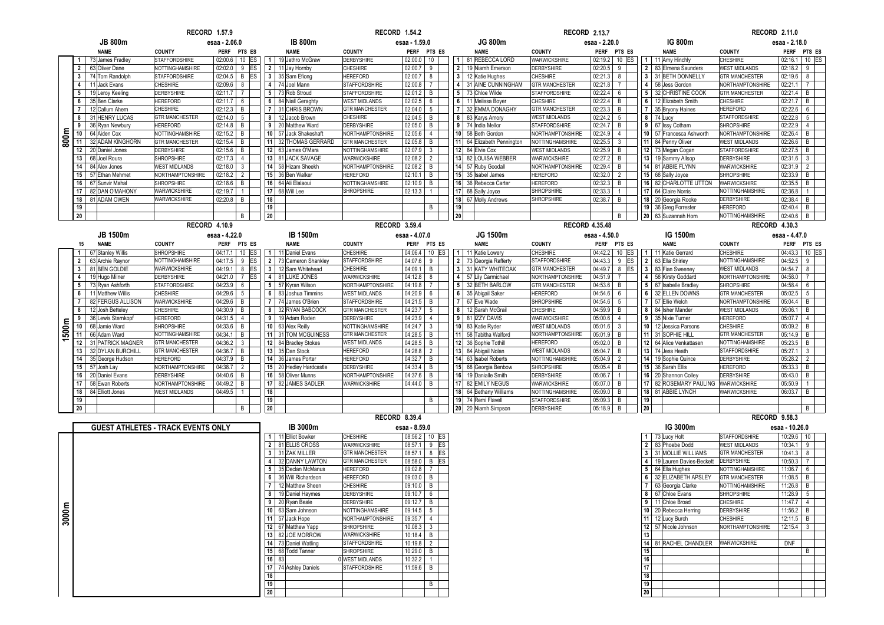|       |                 |                     | <b>RECORD 1.57.9</b>                      |                           |            |                |                         |                       | <b>RECORD 1.54.2</b> |                |                |                         |                       | <b>RECORD 2.13.7</b>  |                              |                 |                            | <b>RECORD 2.11.0</b>   |                           |                |
|-------|-----------------|---------------------|-------------------------------------------|---------------------------|------------|----------------|-------------------------|-----------------------|----------------------|----------------|----------------|-------------------------|-----------------------|-----------------------|------------------------------|-----------------|----------------------------|------------------------|---------------------------|----------------|
|       |                 | <b>JB 800m</b>      |                                           | esaa - 2.06.0             |            |                | <b>IB 800m</b>          |                       | esaa - 1.59.0        |                |                | <b>JG 800m</b>          |                       | esaa - 2.20.0         |                              |                 | IG 800m                    |                        | esaa - 2.18.0             |                |
|       |                 | <b>NAME</b>         | <b>COUNTY</b>                             | <b>PERF</b>               | PTS ES     |                | <b>NAME</b>             | <b>COUNTY</b>         | <b>PERF</b>          | PTS ES         |                | <b>NAME</b>             | <b>COUNTY</b>         | <b>PERF</b>           | PTS ES                       |                 | <b>NAME</b>                | <b>COUNTY</b>          | <b>PERF</b>               | PTS ES         |
|       |                 | 73 James Fradley    | <b>STAFFORDSHIRE</b>                      | 02:00.6                   | $10$ ES    | 1 <sup>1</sup> | 19 Jethro McGraw        | <b>DERBYSHIRE</b>     | 02:00.0              | 10             |                | 1 81 REBECCA LORD       | <b>WARWICKSHIRE</b>   | 02:19.2               | 10 <sup>°</sup><br><b>ES</b> | $\vert 1 \vert$ | 11 Amy Hinchly             | <b>CHESHIRE</b>        | 02:16.1                   | $10$ ES        |
|       | $\mathbf{2}$    | 63 Oliver Dane      | NOTTINGHAMSHIRE                           | 02:02.0                   | $9$ ES     |                | 2 11 Jay Hornby         | CHESHIRE              | 02:00.7              | 9              | $\overline{2}$ | 19 Niamh Emerson        | <b>DERBYSHIRE</b>     | 02:20.5               | 9                            |                 | 2 83 Elmena Saunders       | <b>WEST MIDLANDS</b>   | 02:18.2                   | 9              |
|       |                 | 3 74 Tom Randolph   | <b>STAFFORDSHIRE</b>                      | 02:04.5<br>B              | <b>IES</b> |                | 3 35 Sam Efiong         | <b>HEREFORD</b>       | 02:00.7              | 8              | $\mathbf{3}$   | 12 Katie Hughes         | <b>CHESHIRE</b>       | 02:21.3               | 8                            |                 | 3 31 BETH DONNELLY         | <b>GTR MANCHESTER</b>  | 02:19.6                   | 8              |
|       |                 | 4 11 Jack Evans     | <b>CHESHIRE</b>                           | 02:09.6<br>8              |            |                | 4 74 Joel Mann          | <b>STAFFORDSHIRE</b>  | 02:00.8              | $\overline{7}$ | $\overline{4}$ | 31 AINE CUNNINGHAM      | <b>GTR MANCHESTER</b> | 02:21.8               | $\overline{7}$               |                 | 4 58 Jess Gordon           | NORTHAMPTONSHIRE       | 02:21.1                   | $\overline{7}$ |
|       | $5\overline{ }$ | 19 Leroy Keeling    | DERBYSHIRE                                | 02:11.7<br>$\overline{7}$ |            |                | 5 73 Rob Stroud         | <b>STAFFORDSHIRE</b>  | 02:01.2              | B              | 5 <sub>5</sub> | 73 Chloe Wilde          | <b>STAFFORDSHIRE</b>  | 02:22.4               | 6                            |                 | 5 32 CHRISTINE COOK        | <b>GTR MANCHESTER</b>  | 02:21.4                   | B              |
|       | 6               | 35 Ben Clarke       | <b>HEREFORD</b>                           | 02:11.7<br>6              |            |                | 6 84 Niall Geraghty     | <b>WEST MIDLANDS</b>  | 02:02.5              | 6              | 6              | 11 Melissa Boyer        | <b>CHESHIRE</b>       | 02:22.4               | B                            |                 | 6 12 Elizabeth Smith       | <b>CHESHIRE</b>        | 02:21.7                   | B              |
|       | $\overline{7}$  | 12 Callum Ahern     | CHESHIRE                                  | 02:12.3<br>$\overline{B}$ |            |                | 7 31 CHRIS BROWN        | <b>GTR MANCHESTER</b> | 02:04.0              | 5              | $\overline{7}$ | 32 EMMA DONAGHY         | <b>GTR MANCHESTER</b> | 02:23.3               | B                            |                 | 7 35 Bryony Haines         | <b>HEREFORD</b>        | 02:22.6                   | 6              |
|       | 8               | 31 HENRY LUCAS      | <b>GTR MANCHESTER</b>                     | 02:14.0<br>5              |            |                | 8 12 Jacob Brown        | CHESHIRE              | 02:04.5              | B              | 8              | 83 Karys Amory          | <b>WEST MIDLANDS</b>  | 02:24.2               | 5                            |                 | 8 74 Lucy                  | <b>STAFFORDSHIRE</b>   | 02:22.8                   | 5 <sub>5</sub> |
|       | 9               | 36 Ryan Newbury     | <b>HEREFORD</b>                           | 02:14.8<br>B              |            |                | 9 20 Matthew Ward       | DERBYSHIRE            | 02:05.0              | B              |                | 9 74 India Mellor       | <b>STAFFORDSHIRE</b>  | 02:24.7               | B                            |                 | 9 67 Issy Cotham           | <b>SHROPSHIRE</b>      | 02:22.9                   | $\overline{4}$ |
|       | 10 <sup>1</sup> | 64 Aiden Cox        | NOTTINGHAMSHIRE                           | 02:15.2<br>B              |            |                | 10 57 Jack Shakeshaft   | NORTHAMPTONSHIRE      | 02:05.6              | $\overline{4}$ |                | 10 58 Beth Gordon       | NORTHAMPTONSHIRE      | 02:24.9               | $\overline{4}$               |                 | 10 57 Francesca Ashworth   | NORTHAMPTONSHIRE       | 02:26.4                   | B              |
| 800m  |                 | 11 32 ADAM KINGHORN | <b>GTR MANCHESTER</b>                     | 02:15.4<br>B              |            |                | 11 32 THOMAS GERRARD    | <b>GTR MANCHESTER</b> | 02:05.8              | B              | 11             | 64 Elizabeth Pennington | NOTTINGHAMSHIRE       | 02:25.5               | $\mathbf{3}$                 |                 | 11 84 Penny Oliver         | <b>WEST MIDLANDS</b>   | 02:26.6                   | B              |
|       | 12              | 20 Daniel Jones     | <b>DERBYSHIRE</b>                         | 02:15.6<br>$\overline{B}$ |            |                | 12 63 James O'Mara      | NOTTINGHAMSHIRE       | 02:07.9              | $\mathbf{3}$   |                | 12 84 Elvie Cox         | <b>WEST MIDLANDS</b>  | 02:25.9               | $\overline{B}$               |                 | 12 73 Megan Cogan          | <b>STAFFORDSHIRE</b>   | 02:27.5                   | $\mathsf{B}$   |
|       | 13              | 68 Joel Roura       | <b>SHROPSHIRE</b>                         | 02:17.3<br>$\overline{4}$ |            |                | 13 81 JACK SAVAGE       | <b>WARWICKSHIRE</b>   | 02:08.2              | $\overline{2}$ |                | 13 82 LOUISA WEBBER     | <b>WARWICKSHIRE</b>   | 02:27.2               | B                            |                 | 13 19 Sammy Allsop         | <b>DERBYSHIRE</b>      | 02:31.6                   | $\mathbf{3}$   |
|       | 14              | 84 Alex Jones       | <b>WEST MIDLANDS</b>                      | 02:18.0<br>$\overline{3}$ |            |                | 14 58 Hizam Sheekh      | NORTHAMPTONSHIRE      | 02:08.2              | B              |                | 14 57 Ruby Goodall      | NORTHAMPTONSHIRE      | 02:29.4               | $\overline{B}$               |                 | 14 81 ABBIE FLYNN          | WARWICKSHIRE           | 02:31.9                   | $\overline{2}$ |
|       | 15              | 57 Ethan Mehmet     | NORTHAMPTONSHIRE                          | 02:18.2<br>$\overline{2}$ |            |                | 15 36 Ben Walker        | <b>HEREFORD</b>       | 02:10.1              | B              | 15             | 35 Isabel James         | <b>HEREFORD</b>       | 02:32.0               | $\overline{2}$               |                 | 15 68 Sally Joyce          | <b>SHROPSHIRE</b>      | 02:33.9                   | B              |
|       | 16              | 67 Sunvir Mahal     | <b>SHROPSHIRE</b>                         | 02:18.6<br>B              |            |                | 16 64 Ali Elalaoui      | NOTTINGHAMSHIRE       | 02:10.9              | B              |                | 16 36 Rebecca Carter    | <b>HEREFORD</b>       | 02:32.3               | B                            |                 | 16 82 CHARLOTTE UTTON      | WARWICKSHIRE           | 02:35.5                   | B              |
|       | 17              | 82 DAN O'MAHONY     | WARWICKSHIRE                              | 02:19.7<br>$\mathbf{1}$   |            |                | 17 68 Will Lee          | <b>SHROPSHIRE</b>     | 02:13.3              | $\overline{1}$ |                | 17 68 Sally Joyce       | <b>SHROPSHIRE</b>     | 02:33.3               |                              |                 | 17 64 Claire Norris        | NOTTINGHAMSHIRE        | 02:36.8                   | $\mathbf{1}$   |
|       | 18              | 81 ADAM OWEN        | WARWICKSHIRE                              | 02:20.8<br>B              |            | 18             |                         |                       |                      |                |                | 18 67 Molly Andrews     | <b>SHROPSHIRE</b>     | 02:38.7               | B                            |                 | 18 20 Georgia Rooke        | <b>DERBYSHIRE</b>      | 02:38.4                   | B              |
|       | 19              |                     |                                           |                           |            | 19             |                         |                       |                      | B              | 19             |                         |                       |                       |                              |                 | 19 36 Greg Forrester       | <b>HEREFORD</b>        | 02:40.4<br>B              |                |
|       | $20\,$          |                     |                                           | B                         |            | $20\,$         |                         |                       |                      |                | 20             |                         |                       |                       | B                            |                 | 20 63 Suzannah Horn        | NOTTINGHAMSHIRE        | 02:40.6<br>$\overline{B}$ |                |
|       |                 |                     |                                           |                           |            |                |                         |                       |                      |                |                |                         |                       |                       |                              |                 |                            |                        |                           |                |
|       |                 |                     | <b>RECORD 4.10.9</b>                      |                           |            |                |                         | <b>RECORD 3.59.4</b>  |                      |                |                |                         |                       | <b>RECORD 4.35.48</b> |                              |                 |                            | RECORD 4.30.3          |                           |                |
|       |                 | JB 1500m            |                                           | esaa - 4.22.0             |            |                | <b>IB 1500m</b>         |                       | esaa - 4.07.0        |                |                | JG 1500m                |                       | esaa - 4.50.0         |                              |                 | IG 1500m                   |                        | esaa - 4.47.0             |                |
|       | 15              | <b>NAME</b>         | <b>COUNTY</b>                             | <b>PERF</b>               | PTS ES     |                | <b>NAME</b>             | <b>COUNTY</b>         | <b>PERF</b>          | PTS ES         |                | <b>NAME</b>             | <b>COUNTY</b>         | <b>PERF</b>           | PTS ES                       |                 | <b>NAME</b>                | <b>COUNTY</b>          | <b>PERF</b>               | PTS ES         |
|       | $\mathbf{1}$    | 67 Stanley Willis   | <b>SHROPSHIRE</b>                         | 04:17.1                   | $10$ ES    |                | 1 11 Daniel Evans       | CHESHIRE              | 04:06.4              | 10 ES          |                | 1 11 Katie Lowery       | <b>CHESHIRE</b>       | 04:42.2               | 10<br>ES                     |                 | 1 11 Katie Gerrard         | <b>CHESHIRE</b>        | 04:43.3                   | $10$ ES        |
|       | $\mathbf{2}$    | 63 Archie Raynor    | <b>NOTTINGHAMSHIRE</b>                    | 04:17.5<br>9              | <b>ES</b>  |                | 2 73 Cameron Shankley   | <b>STAFFORDSHIRE</b>  | 04:07.6              | 9              | $\overline{2}$ | 73 Georgia Rafferty     | <b>STAFFORDSHIRE</b>  | 04:43.3               | 9 ES                         |                 | 2 63 Ella Shirley          | NOTTINGHAMSHIRE        | 04:52.5                   | 9              |
|       | 3 <sup>1</sup>  | 81 BEN GOLDIE       | WARWICKSHIRE                              | 04:19.1<br>8              | <b>ES</b>  |                | 3 12 Sam Whitehead      | CHESHIRE              | 04:09.1              | B              | $\mathbf{3}$   | 31 KATY WHITEOAK        | <b>GTR MANCHESTER</b> | 04:49.7               | 8<br>ES                      |                 | 3 83 Fian Sweeney          | <b>WEST MIDLANDS</b>   | 04:54.7                   | 8              |
|       | $\overline{4}$  | 19 Hugo Milner      | <b>DERBYSHIRE</b>                         | 04:21.0                   | $7$ ES     |                | 4 81 LUKE JONES         | <b>WARWICKSHIRE</b>   | 04:12.8              | 8              | $\overline{4}$ | 57 Lily Carmichael      | NORTHAMPTONSHIRE      | 04:51.9               | $\overline{7}$               |                 | 4 58 Kirsty Goddard        | NORTHAMPTONSHIRE       | 04:58.0                   | $7^{\circ}$    |
|       |                 | 5 73 Ryan Ashforth  | STAFFORDSHIRE                             | 04:23.9<br>6              |            |                | 5 57 Kyran Wilson       | NORTHAMPTONSHIRE      | 04:19.8              | $\overline{7}$ |                | 5 32 BETH BARLOW        | <b>GTR MANCHESTER</b> | 04:53.6               | B                            |                 | 5 67 Isabelle Bradley      | <b>SHROPSHIRE</b>      | 04:58.4                   | 6              |
|       | 6               | 11 Matthew Willis   | <b>CHESHIRE</b>                           | 04:29.6<br>5              |            |                | 6 83 Joshua Timmins     | <b>WEST MIDLANDS</b>  | 04:20.9              | 6              | 6              | 35 Abigail Saker        | <b>HEREFORD</b>       | 04:54.6               | $6\phantom{.}6$              |                 | 6 32 ELLEN DOWNS           | <b>GTR MANCHESTER</b>  | 05:02.5                   | 5 <sup>5</sup> |
|       | $\overline{7}$  | 82 FERGUS ALLISON   | WARWICKSHIRE                              | 04:29.6<br>$\overline{B}$ |            |                | 7 74 James O'Brien      | <b>STAFFORDSHIRE</b>  | 04:21.5              | B              | $\overline{7}$ | 67 Eve Wade             | <b>SHROPSHIRE</b>     | $04:54.6$ 5           |                              |                 | 7 57 Ellie Welch           | NORTHAMPTONSHIRE       | 05:04.4                   | B              |
|       | 8               | 12 Josh Betteley    | <b>CHESHIRE</b>                           | 04:30.9<br>B              |            |                | 8 32 RYAN BABCOCK       | <b>GTR MANCHESTER</b> | 04:23.7              | 5              | 8              | 12 Sarah McGrail        | <b>CHESHIRE</b>       | 04:59.9               | $\overline{B}$               |                 | 8 84 Isher Mander          | <b>WEST MIDLANDS</b>   | 05:06.1                   | B              |
|       | 9               | 36 Lewis Sternkopf  | <b>HEREFORD</b>                           | 04:31.5<br>$\overline{4}$ |            |                | 9 19 Adam Roden         | <b>DERBYSHIRE</b>     | 04:23.9              | $\overline{4}$ |                | 9 81 IZZY DAVIS         | WARWICKSHIRE          | 05:00.6               | $\overline{4}$               |                 | 9 35 Nixie Turner          | <b>HEREFORD</b>        | 05:07.7                   | $\overline{4}$ |
|       | 10              | 68 Jamie Ward       | <b>SHROPSHIRE</b>                         | 04:33.6<br>B              |            |                | 10 63 Alex Reilly       | NOTTINGHAMSHIRE       | 04:24.7              | $\mathbf{3}$   |                | 10 83 Katie Ryder       | <b>WEST MIDLANDS</b>  | 05:01.6               | $\overline{3}$               |                 | 10 12 Jessica Parsons      | <b>CHESHIRE</b>        | 05:09.2                   | B              |
| 500m  |                 | 11 66 Adam Ward     | <b>NOTTINGHAMSHIRE</b>                    | 04:34.1<br>B              |            |                | 11 31 TOM MCGUINESS     | <b>GTR MANCHESTER</b> | 04:28.5              | B              | 11             | 58 Tabitha Walford      | NORTHAMPTONSHIRE      | 05:01.9 B             |                              |                 | 11 31 SOPHIE HILL          | <b>GTR MANCHESTER</b>  | 05:14.9                   | B              |
|       | 12              | 31 PATRICK MAGNER   | <b>GTR MANCHESTER</b>                     | 04:36.2<br>$\mathbf{3}$   |            |                | 12 84 Bradley Stokes    | <b>WEST MIDLANDS</b>  | 04:28.5              | B              |                | 12 36 Sophie Tothill    | <b>HEREFORD</b>       | 05:02.0 B             |                              |                 | 12 64 Alice Venkattasen    | <b>NOTTINGHAMSHIRE</b> | 05:23.5                   | B              |
|       | 13              | 32 DYLAN BURCHILL   | <b>GTR MANCHESTER</b>                     | 04:36.7<br>$\mathsf{B}$   |            |                | 13 35 Dan Stock         | <b>HEREFORD</b>       | 04:28.8              | $\overline{2}$ |                | 13 84 Abigail Nolan     | <b>WEST MIDLANDS</b>  | 05:04.7               | B                            |                 | 13 74 Jess Heath           | <b>STAFFORDSHIRE</b>   | 05:27.1                   | 3              |
|       | 14              | 35 George Hudson    | <b>HEREFORD</b>                           | 04:37.9<br>$\mathsf{B}$   |            |                | 14 36 James Porter      | <b>HEREFORD</b>       | 04:32.7              | B              |                | 14 63 Isabel Roberts    | NOTTINGHAMSHIRE       | 05:04.9               | $\overline{2}$               |                 | 14 19 Sophie Quince        | <b>DERBYSHIRE</b>      | 05:28.2                   | $\overline{2}$ |
|       | 15              | 57 Josh Lay         | NORTHAMPTONSHIRE                          | 04:38.7<br>$\overline{2}$ |            |                | 15 20 Hedley Hardcastle | <b>DERBYSHIRE</b>     | 04:33.4              | B              |                | 15 68 Georgia Benbow    | <b>SHROPSHIRE</b>     | 05:05.4               | B                            |                 | 15 36 Sarah Ellis          | <b>HEREFORD</b>        | 05:33.3                   | B              |
|       | 16              | 20 Daniel Evans     | DERBYSHIRE                                | 04:40.6<br>B              |            |                | 16 58 Oliver Munns      | NORTHAMPTONSHIRE      | 04:37.6              | B              |                | 16<br>19 Danialle Smith | <b>DERBYSHIRE</b>     | 05:06.7               |                              |                 | 16 20 Shannon Colley       | <b>DERBYSHIRE</b>      | 05:43.0                   | B              |
|       | 17              | 58 Ewan Roberts     | NORTHAMPTONSHIRE                          | 04:49.2<br>B              |            |                | 17 82 JAMES SADLER      | WARWICKSHIRE          | 04:44.0              | B              |                | 17 82 EMILY NEGUS       | WARWICKSHIRE          | 05:07.0               | B                            |                 | 17 82 ROSEMARY PAULING     | WARWICKSHIRE           | 05:50.9                   | $\mathbf{1}$   |
|       | 18              | 84 Elliott Jones    | <b>WEST MIDLANDS</b>                      | 04:49.5<br>$\overline{1}$ |            | 18             |                         |                       |                      |                |                | 18 64 Bethany Williams  | NOTTINGHAMSHIRE       | 05:09.0               | B                            |                 | 18 81 ABBIE LYNCH          | WARWICKSHIRE           | 06:03.7<br>$\overline{B}$ |                |
|       | 19              |                     |                                           |                           |            | 19             |                         |                       |                      | B              |                | 19 74 Remi Flavell      | <b>STAFFORDSHIRE</b>  | 05:09.3               | B                            | 19              |                            |                        |                           |                |
|       | 20              |                     |                                           | B                         |            | 20             |                         |                       |                      |                |                | 20 20 Niamh Simpson     | <b>DERBYSHIRE</b>     | 05:18.9               | B                            | 20 <sup>°</sup> |                            |                        |                           | B              |
|       |                 |                     |                                           |                           |            |                |                         | <b>RECORD 8.39.4</b>  |                      |                |                |                         |                       |                       |                              |                 |                            | <b>RECORD 9.58.3</b>   |                           |                |
|       |                 |                     | <b>GUEST ATHLETES - TRACK EVENTS ONLY</b> |                           |            |                | IB 3000m                |                       | esaa - 8.59.0        |                |                |                         |                       |                       |                              |                 | IG 3000m                   |                        | esaa - 10.26.0            |                |
|       |                 |                     |                                           |                           |            |                | 1 11 Elliot Bowker      | <b>CHESHIRE</b>       |                      | 08:56.2 10 ES  |                |                         |                       |                       |                              |                 | 1 73 Lucy Holt             | <b>STAFFORDSHIRE</b>   | 10:29.6                   | 10             |
|       |                 |                     |                                           |                           |            |                | 2 81 ELLIS CROSS        | <b>WARWICKSHIRE</b>   | 08:57.1              | $9$ ES         |                |                         |                       |                       |                              |                 | 2 83 Phoebe Dodd           | <b>WEST MIDLANDS</b>   | 10:34.1                   | 9              |
|       |                 |                     |                                           |                           |            |                | 3 31 ZAK MILLER         | <b>GTR MANCHESTER</b> | 08:57.1              | $8$ ES         |                |                         |                       |                       |                              |                 | 3 31 MOLLIE WILLIAMS       | <b>GTR MANCHESTER</b>  | 10:41.3                   | 8              |
|       |                 |                     |                                           |                           |            |                | 4 32 DANNY LAWTON       | <b>GTR MANCHESTER</b> | 08:58.0              | B ES           |                |                         |                       |                       |                              |                 | 4 19 Lauren Davies-Beckett | DERBYSHIRE             | 10:50.3                   | $\overline{7}$ |
|       |                 |                     |                                           |                           |            | 5 <sup>1</sup> | 35 Declan McManus       | <b>HEREFORD</b>       | 09:02.8              | $7^{\circ}$    |                |                         |                       |                       |                              |                 | 5 64 Ella Hughes           | NOTTINGHAMSHIRE        | 11:06.7                   | 6              |
|       |                 |                     |                                           |                           |            |                | 6 36 Will Richardson    | <b>HEREFORD</b>       | 09:03.0              | B              |                |                         |                       |                       |                              |                 | 6 32 ELIZABETH APSLEY      | <b>GTR MANCHESTER</b>  | 11:08.5                   | B              |
|       |                 |                     |                                           |                           |            | $\overline{7}$ | 12 Matthew Sheen        | CHESHIRE              | 09:10.0              | B              |                |                         |                       |                       |                              |                 | 7 63 Georgia Clarke        | NOTTINGHAMSHIRE        | 11:26.8                   | B              |
|       |                 |                     |                                           |                           |            |                | 8 19 Daniel Haymes      | DERBYSHIRE            | 09:10.7              | 6              |                |                         |                       |                       |                              |                 | 8 67 Chloe Evans           | <b>SHROPSHIRE</b>      | 11:28.9                   | 5 <sub>5</sub> |
|       |                 |                     |                                           |                           |            |                | 9 20 Ryan Beale         | <b>DERBYSHIRE</b>     | 09:12.7              | B              |                |                         |                       |                       |                              |                 | 9 11 Chloe Broad           | <b>CHESHIRE</b>        | 11:47.7                   | $\overline{4}$ |
|       |                 |                     |                                           |                           |            |                | 10 63 Sam Johnson       | NOTTINGHAMSHIRE       | 09:14.5              | 5              |                |                         |                       |                       |                              |                 | 10 20 Rebecca Herring      | <b>DERBYSHIRE</b>      | 11:56.2                   | $\mathsf{B}$   |
| 3000m |                 |                     |                                           |                           |            |                | 11 57 Jack Hope         | NORTHAMPTONSHIRE      | 09:35.7              | $\overline{4}$ |                |                         |                       |                       |                              |                 | 11 12 Lucy Burch           | <b>CHESHIRE</b>        | 12:11.5                   | $\mathsf{B}$   |
|       |                 |                     |                                           |                           |            |                |                         |                       |                      |                |                |                         |                       |                       |                              |                 |                            |                        | 10.15                     |                |

| <b>GUEST ATHLETES - TRACK EVENTS ONLY</b> |    | IB 3000m           |                                                                                                                                      |               |         |                                                                                                                             |                                                |    | IG 3000m               |
|-------------------------------------------|----|--------------------|--------------------------------------------------------------------------------------------------------------------------------------|---------------|---------|-----------------------------------------------------------------------------------------------------------------------------|------------------------------------------------|----|------------------------|
|                                           |    | 11 Elliot Bowker   | <b>CHESHIRE</b>                                                                                                                      |               |         |                                                                                                                             |                                                |    | 73 Lucy Holt           |
|                                           |    | 81 ELLIS CROSS     | WARWICKSHIRE                                                                                                                         | 08:57.1       | 9       |                                                                                                                             |                                                |    | 83 Phoebe Dodd         |
|                                           |    | 31 ZAK MILLER      | <b>GTR MANCHESTER</b>                                                                                                                | 08:57.        |         |                                                                                                                             |                                                |    | 31 MOLLIE WILLIAMS     |
|                                           |    | 32 DANNY LAWTON    | <b>GTR MANCHESTER</b>                                                                                                                |               | B       |                                                                                                                             |                                                |    | 19 Lauren Davies-Becke |
|                                           |    | 35 Declan McManus  | <b>HEREFORD</b>                                                                                                                      |               |         |                                                                                                                             |                                                |    | 5 64 Ella Hughes       |
|                                           |    | 36 Will Richardson | <b>HEREFORD</b>                                                                                                                      |               | B       |                                                                                                                             |                                                |    | 32 ELIZABETH APSLEY    |
|                                           |    | 12 Matthew Sheen   | <b>CHESHIRE</b>                                                                                                                      |               | B       |                                                                                                                             |                                                |    | 63 Georgia Clarke      |
|                                           |    | 19 Daniel Haymes   | <b>DERBYSHIRE</b>                                                                                                                    | 09:10.7       | 6       |                                                                                                                             |                                                |    | 67 Chloe Evans         |
|                                           |    | 20 Ryan Beale      | <b>DERBYSHIRE</b>                                                                                                                    | 09:12.7       | B       |                                                                                                                             |                                                |    | 11 Chloe Broad         |
|                                           |    |                    | NOTTINGHAMSHIRE                                                                                                                      |               | 5       |                                                                                                                             |                                                |    | 10 20 Rebecca Herring  |
|                                           |    |                    | NORTHAMPTONSHIRE                                                                                                                     | 09:35.7       |         |                                                                                                                             |                                                |    | 12 Lucy Burch          |
|                                           |    |                    | <b>SHROPSHIRE</b>                                                                                                                    |               |         |                                                                                                                             |                                                |    | 57 Nicole Johnson      |
|                                           |    |                    | WARWICKSHIRE                                                                                                                         |               | B       |                                                                                                                             |                                                |    |                        |
|                                           |    |                    | <b>STAFFORDSHIRE</b>                                                                                                                 |               |         |                                                                                                                             |                                                |    | 81 RACHEL CHANDLER     |
|                                           |    |                    | <b>SHROPSHIRE</b>                                                                                                                    |               | B       |                                                                                                                             |                                                |    |                        |
|                                           |    | 83                 |                                                                                                                                      | 10:32.2       |         |                                                                                                                             |                                                |    |                        |
|                                           |    | 74 Ashley Daniels  | <b>STAFFORDSHIRE</b>                                                                                                                 |               | B       |                                                                                                                             |                                                | 17 |                        |
|                                           | 18 |                    |                                                                                                                                      |               |         |                                                                                                                             |                                                | 18 |                        |
|                                           | 19 |                    |                                                                                                                                      |               | B       |                                                                                                                             |                                                | 19 |                        |
|                                           |    |                    |                                                                                                                                      |               |         |                                                                                                                             |                                                | 20 |                        |
|                                           |    | 20 <sup>1</sup>    | 10 63 Sam Johnson<br>57 Jack Hope<br>11<br>12 67 Matthew Yapp<br>13 82 JOE MORROW<br>14 73 Daniel Watling<br>15 68 Todd Tanner<br>16 | WEST MIDLANDS | 09:02.8 | esaa - 8.59.0<br>08:56.2<br>08:58.0<br>09:03.0<br>09:10.0<br>09:14.5<br>10.08.3<br>10:18.4<br>10:19.8<br>10:29.0<br>11:59.6 | $10$ ES<br><b>ES</b><br><b>ES</b><br><b>ES</b> |    | 9 <sup>1</sup><br>14   |

| m         | esaa - 8.59.0<br><b>CHESHIRE</b><br>08:56.2 |         |       |   |    |
|-----------|---------------------------------------------|---------|-------|---|----|
|           | 08:57.1<br>9<br><b>WARWICKSHIRE</b>         |         | 10 ES |   |    |
| SS        |                                             |         |       |   | ES |
|           | <b>GTR MANCHESTER</b>                       | 08:57.1 |       | 8 | ES |
| WTON      | <b>GTR MANCHESTER</b>                       | 08:58.0 |       | В | ES |
| Aanus     | <b>HEREFORD</b>                             | 09:02.8 |       |   |    |
| lson      | <b>HEREFORD</b>                             | 09:03.0 |       | B |    |
| leen      | <b>CHESHIRE</b>                             | 09:10.0 |       | B |    |
| nes       | <b>DERBYSHIRE</b>                           | 09:10.7 |       | 6 |    |
|           | <b>DERBYSHIRE</b>                           | 09:12.7 | В     |   |    |
| nc.       | <b>NOTTINGHAMSHIRE</b>                      | 09:14.5 |       | 5 |    |
|           | <b>NORTHAMPTONSHIRE</b>                     | 09:35.7 |       |   |    |
| pp        | <b>SHROPSHIRE</b>                           | 10.08.3 | 3     |   |    |
| <b>OW</b> | <b>WARWICKSHIRE</b>                         | 10:18.4 |       | B |    |
| ing       | <b>STAFFORDSHIRE</b>                        | 10:19.8 |       |   |    |
|           | <b>SHROPSHIRE</b>                           | 10:29.0 |       | B |    |
|           | 0 WEST MIDLANDS                             | 10:32.2 |       |   |    |
| iels      | <b>STAFFORDSHIRE</b>                        | 11:59.6 | B     |   |    |
|           |                                             |         |       |   |    |
|           |                                             |         | B     |   |    |
|           |                                             |         |       |   |    |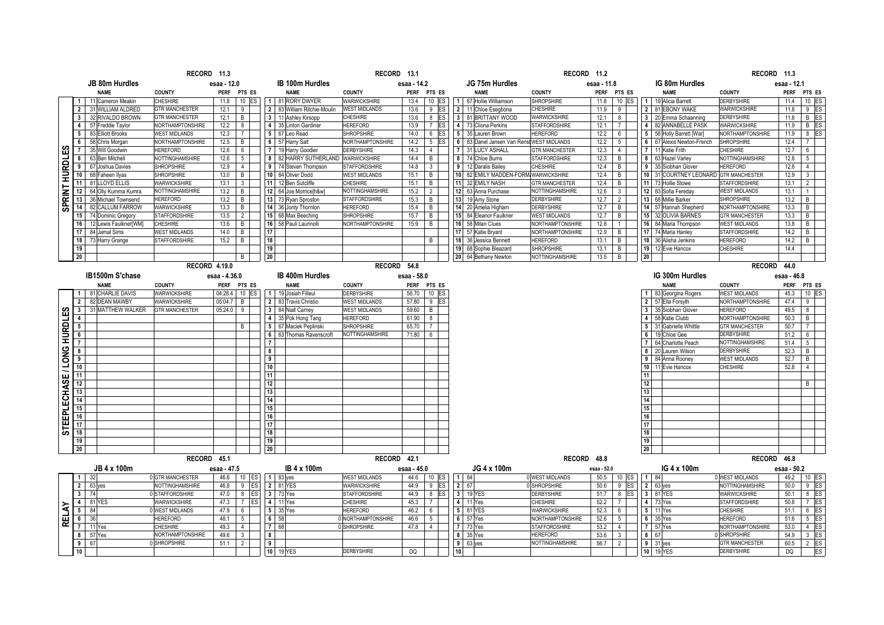|                              |                         |                                     | RECORD 11.3                     |                                                   |                                               |                                              | RECORD 13.1  |                       |                 |                                                             | RECORD 11.2           |              |                 |                |                                               | RECORD 11.3                              |              |                         |
|------------------------------|-------------------------|-------------------------------------|---------------------------------|---------------------------------------------------|-----------------------------------------------|----------------------------------------------|--------------|-----------------------|-----------------|-------------------------------------------------------------|-----------------------|--------------|-----------------|----------------|-----------------------------------------------|------------------------------------------|--------------|-------------------------|
|                              |                         | JB 80m Hurdles                      |                                 | esaa - 12.0                                       | <b>IB 100m Hurdles</b>                        |                                              | esaa - 14.2  |                       |                 | JG 75m Hurdles                                              |                       | esaa - 11.8  |                 |                | IG 80m Hurdles                                |                                          | esaa - 12.1  |                         |
|                              |                         | <b>NAME</b>                         | <b>COUNTY</b>                   | <b>PERF</b><br>PTS ES                             | <b>NAME</b>                                   | <b>COUNTY</b>                                | <b>PERF</b>  | PTS ES                |                 | <b>NAME</b>                                                 | <b>COUNTY</b>         |              | PERF PTS ES     |                | <b>NAME</b>                                   | <b>COUNTY</b>                            | <b>PERF</b>  | PTS ES                  |
|                              | $\mathbf{1}$            | 11 Cameron Meakin                   | <b>CHESHIRE</b>                 | $10$ ES<br>11.8                                   | 1 81 RORY DWYER                               | <b>WARWICKSHIRE</b>                          | 13.4         | 10 ES                 |                 | 1 67 Hollie Williamson                                      | SHROPSHIRE            | 11.8         | 10 ES           |                | 1 19 Alicia Barrett                           | <b>DERBYSHIRE</b>                        | 11.4         | 10 ES                   |
|                              | 2 <sup>1</sup>          | 31 WILLIAM ALDRED                   | <b>GTR MANCHESTER</b>           | 12.1<br>9                                         | 2 83 William Ritchie-Moulin                   | <b>WEST MIDLANDS</b>                         | 13.6         | 9<br>ES               |                 | 2 11 Chloe Esegbona                                         | <b>CHESHIRE</b>       | 11.9         | 9               |                | 2 81 EBONY WAKE                               | WARWICKSHIRE                             | 11.8         | $9$ ES                  |
|                              |                         | 3 32 RIVALDO BROWN                  | <b>GTR MANCHESTER</b>           | 12.1<br>B                                         | 3 11 Ashley Kirsopp                           | CHESHIRE                                     | 13.6         | <b>ES</b><br>8        |                 | 3 81 BRITTANY WOOD                                          | <b>WARWICKSHIRE</b>   | 12.1         | 8               |                | 3 20 Emma Schaanning                          | <b>DERBYSHIRE</b>                        | 11.8         | B ES                    |
|                              | 4 <sup>1</sup>          | 57 Freddie Taylor                   | NORTHAMPTONSHIRE                | 12.2<br>8                                         | 4 35 Linton Gardiner                          | <b>HEREFORD</b>                              | 13.9         | ES<br>$\overline{7}$  |                 | 4 73 Cliona Perkins                                         | <b>STAFFORDSHIRE</b>  | 12.1         | $\overline{7}$  |                | 4 82 ANNABELLE PASK                           | WARWICKSHIRE                             | 11.9         | B ES                    |
|                              | $5\overline{5}$         | 83 Elliott Brooks                   | <b>WEST MIDLANDS</b>            | 12.3<br>$\overline{7}$                            | 5 67 Leo Read                                 | <b>SHROPSHIRE</b>                            | 14.0         | 6<br>ES               |                 | 5 35 Lauren Brown                                           | <b>HEREFORD</b>       | 12.2         | 6               |                | 5 58 Holly Barrett [War]                      | NORTHAMPTONSHIRE                         | 11.9         | 8 ES                    |
|                              | 6                       | 58 Chris Morgan                     | NORTHAMPTONSHIRE                | 12.5<br>B                                         | 6 57 Harry Salt                               | NORTHAMPTONSHIRE                             | 14.2         | $5\phantom{.0}$<br>ES |                 | 6 83 Danel Jansen Van Renst WEST MIDLANDS                   |                       | 12.2         | $5\phantom{.0}$ |                | 6 67 Alexis Newton-French                     | <b>SHROPSHIRE</b>                        | 12.4         | $7^{\circ}$             |
| <b>HURDLES</b>               | $\overline{7}$          | 35 Will Goodwin                     | <b>HEREFORD</b>                 | 12.6<br>$6\phantom{.0}$                           | 7 19 Harry Goodier                            | <b>DERBYSHIRE</b>                            | 14.3         | $\overline{4}$        |                 | 7 31 LUCY ASHALL                                            | <b>GTR MANCHESTER</b> | 12.3         | $\overline{4}$  |                | 7 11 Katie Frith                              | <b>CHESHIRE</b>                          | 12.7         | 6                       |
|                              | 8<br>9                  | 63 Ben Mitchell                     | <b>NOTTINGHAMSHIRE</b>          | 12.6<br>$5\phantom{.0}$<br>12.9<br>$\overline{4}$ | 8 82 HARRY SUTHERLAND<br>9 74 Steven Thompson | WARWICKSHIRE                                 | 14.4<br>14.8 | B<br>$\mathbf{3}$     |                 | 8 74 Chloe Burns                                            | <b>STAFFORDSHIRE</b>  | 12.3<br>12.4 | B               |                | 8 63 Hazel Varley                             | NOTTINGHAMSHIRE                          | 12.8<br>12.8 | 5 <sup>5</sup><br>4     |
|                              | 10                      | 67 Joshua Davies<br>68 Faheen Ilyas | <b>SHROPSHIRE</b><br>SHROPSHIRE | 13.0<br>B                                         | 10 84 Oliver Dodd                             | <b>STAFFORDSHIRE</b><br><b>WEST MIDLANDS</b> | 15.1         | B                     |                 | 9 12 Daralis Bailey<br>10 82 EMILY MADDEN-FORM WARWICKSHIRE | <b>CHESHIRE</b>       | 12.4         | B<br>B          |                | 9 35 Siobhan Glover<br>10 31 COURTNEY LEONARD | <b>HEREFORD</b><br><b>GTR MANCHESTER</b> | 12.9         | $\mathbf{3}$            |
|                              | 11                      | 81 LLOYD ELLIS                      | <b>WARWICKSHIRE</b>             | 13.1<br>3                                         | 11 12 Ben Sutcliffe                           | <b>CHESHIRE</b>                              | 15.1         | B                     |                 | 11 32 EMILY NASH                                            | <b>GTR MANCHESTER</b> | 12.4         | В               |                | 11 73 Hollie Stowe                            | <b>STAFFORDSHIRE</b>                     | 13.1         | $\overline{2}$          |
| <b>SPRINT</b>                | 12                      | 64 Olly Kumma Kumra                 | NOTTINGHAMSHIRE                 | 13.2<br>B                                         | 12 64 Joe Morrice [h&w]                       | NOTTINGHAMSHIRE                              | 15.2         | $\overline{2}$        |                 | 12 63 Anna Purchase                                         | NOTTINGHAMSHIRE       | 12.6         | 3               |                | 12 83 Sofia Fereday                           | <b>WEST MIDLANDS</b>                     | 13.1         | $\overline{1}$          |
|                              | 13                      | 36 Michael Townsend                 | <b>HEREFORD</b>                 | 13.2<br>$\overline{B}$                            | 13 73 Ryan Sproston                           | <b>STAFFORDSHIRE</b>                         | 15.3         | B                     |                 | 13 19 Amy Stone                                             | <b>DERBYSHIRE</b>     | 12.7         | $\overline{2}$  |                | 13 68 Millie Barker                           | <b>SHROPSHIRE</b>                        | 13.2         | $\mathsf{B}$            |
|                              | 14                      | 82 CALLUM FARROW                    | <b>WARWICKSHIRE</b>             | 13.3<br>B                                         | 14 36 Jonty Thornton                          | <b>HEREFORD</b>                              | 15.4         | B                     |                 | 14 20 Amelia Higham                                         | <b>DERBYSHIRE</b>     | 12.7         | B               |                | 14 57 Hannah Shepherd                         | NORTHAMPTONSHIRE                         | 13.3         | $\mathsf{B}$            |
|                              | 15 <sup>1</sup>         | 74 Dominic Gregory                  | <b>STAFFORDSHIRE</b>            | 13.5<br>$\overline{2}$                            | 15 68 Max Beeching                            | <b>SHROPSHIRE</b>                            | 15.7         | B                     |                 | 15 84 Eleanor Faulkner                                      | <b>WEST MIDLANDS</b>  | 12.7         | B               |                | 15 32 OLIVIA BARNES                           | <b>GTR MANCHESTER</b>                    | 13.3         | B                       |
|                              | 16 <sup>1</sup>         | 12 Lewis Faulkner[WM]               | <b>CHESHIRE</b>                 | B<br>13.6                                         | 16 58 Pauli Laurinolli                        | NORTHAMPTONSHIRE                             | 15.9         | B                     |                 | 16 58 Milan Clues                                           | NORTHAMPTONSHIRE      | 12.8         | $\overline{1}$  |                | 16 84 Maria Thompson                          | <b>WEST MIDLANDS</b>                     | 13.8         | B                       |
|                              | 17                      | 84 Jamal Sims                       | <b>WEST MIDLANDS</b>            | 14.0<br>B                                         | 17                                            |                                              |              |                       |                 | 17 57 Katie Bryant                                          | NORTHAMPTONSHIRE      | 12.9         | B               |                | 17 74 Maria Hanley                            | <b>STAFFORDSHIRE</b>                     | 14.2         | $\mathsf{B}$            |
|                              | 18                      | 73 Harry Grange                     | <b>STAFFORDSHIRE</b>            | 15.2<br>$\,$ B                                    | 18                                            |                                              |              | B                     |                 | 18 36 Jessica Bennett                                       | <b>HEREFORD</b>       | 13.1         | B               |                | 18 36 Alisha Jenkins                          | <b>HEREFORD</b>                          | 14.2         | $\mathsf{B}$            |
|                              | 19                      |                                     |                                 |                                                   | 19                                            |                                              |              |                       |                 | 19 68 Sophie Bleazard                                       | <b>SHROPSHIRE</b>     | 13.1         | В               |                | 19 12 Evie Hancox                             | <b>CHESHIRE</b>                          | 14.4         |                         |
|                              | 20                      |                                     |                                 | B                                                 | 20                                            |                                              |              |                       |                 | 20 64 Bethany Newton                                        | NOTTINGHAMSHIRE       | 13.5         | B               | $20\,$         |                                               |                                          |              |                         |
|                              |                         |                                     | <b>RECORD 4.19.0</b>            |                                                   |                                               |                                              | RECORD 54.8  |                       |                 |                                                             |                       |              |                 |                |                                               | <b>RECORD</b>                            | 44.0         |                         |
|                              |                         | IB1500m S'chase                     |                                 | esaa - 4.36.0                                     | <b>IB 400m Hurdles</b>                        |                                              | esaa - 58.0  |                       |                 |                                                             |                       |              |                 |                | IG 300m Hurdles                               |                                          | esaa - 46.8  |                         |
|                              |                         | <b>NAME</b>                         | <b>COUNTY</b>                   | <b>PERF</b><br>PTS ES                             | <b>NAME</b>                                   | <b>COUNTY</b>                                | <b>PERF</b>  | PTS ES                |                 |                                                             |                       |              |                 |                | <b>NAME</b>                                   | <b>COUNTY</b>                            | <b>PERF</b>  | PTS ES                  |
|                              |                         | 81 CHARLIE DAVIS                    | <b>WARWICKSHIRE</b>             | ES<br>04:28.4<br>10                               | $\vert$ 1<br>19 Josiah Filleul                | <b>DERBYSHIRE</b>                            | 56.70        | 10 ES                 |                 |                                                             |                       |              |                 |                | 1 83 Georgina Rogers                          | <b>WEST MIDLANDS</b>                     | 45.3         | $10$ ES                 |
|                              | $\overline{2}$          | 82 DEAN MAWBY                       | <b>WARWICKSHIRE</b>             | 05:04.7<br>B                                      | 2 83 Travis Christio                          | <b>WEST MIDLANDS</b>                         | 57.80        | ES<br>9               |                 |                                                             |                       |              |                 |                | 2 57 Ella Forsyth                             | NORTHAMPTONSHIRE                         | 47.4         | 9                       |
|                              | $\overline{\mathbf{3}}$ | 31 MATTHEW WALKER                   | <b>GTR MANCHESTER</b>           | 05:24.0<br>9                                      | $\overline{\mathbf{3}}$<br>84 Niall Carney    | <b>WEST MIDLANDS</b>                         | 59.60        | B                     |                 |                                                             |                       |              |                 |                | 3 35 Siobhan Glover                           | <b>HEREFORD</b>                          | 49.5         | 8                       |
| <b>S3TGRING HOMO HURDLES</b> | $\overline{4}$          |                                     |                                 |                                                   | $\overline{4}$<br>35 Pok Hong Tang            | <b>HEREFORD</b>                              | 61.90        | 8                     |                 |                                                             |                       |              |                 |                | 4 58 Katie Clubb                              | NORTHAMPTONSHIRE                         | 50.3         | $\mathsf{B}$            |
|                              | $\overline{\mathbf{5}}$ |                                     |                                 | В                                                 | $5\phantom{.0}$<br>67 Maciek Peplinski        | <b>SHROPSHIRE</b>                            | 65.70        | $\overline{7}$        |                 |                                                             |                       |              |                 |                | 5 31 Gabrielle Whittle                        | <b>GTR MANCHESTER</b>                    | 50.7         | $\overline{7}$          |
|                              | 6                       |                                     |                                 |                                                   | 6<br>63 Thomas Ravenscroft                    | NOTTINGHAMSHIRE                              | 71.80        | 6                     |                 |                                                             |                       |              |                 |                | 6 19 Chloe Gee                                | <b>DERBYSHIRE</b>                        | 51.2         | 6                       |
|                              | $\overline{7}$          |                                     |                                 |                                                   | $\overline{7}$                                |                                              |              |                       |                 |                                                             |                       |              |                 | $\overline{7}$ | 64 Charlotte Peach                            | NOTTINGHAMSHIRE                          | 51.4         | 5                       |
|                              | 8                       |                                     |                                 |                                                   | 8                                             |                                              |              |                       |                 |                                                             |                       |              |                 |                | 8 20 Lauren Wilson                            | DERBYSHIRE                               | 52.3         | $\mathsf{B}$            |
|                              | 9                       |                                     |                                 |                                                   | 9                                             |                                              |              |                       |                 |                                                             |                       |              |                 |                | 9 84 Anna Rooney                              | <b>WEST MIDLANDS</b>                     | 52.7         | $\mathsf{B}$            |
|                              | 10                      |                                     |                                 |                                                   | 10                                            |                                              |              |                       |                 |                                                             |                       |              |                 |                | 10 11 Evie Hancox                             | <b>CHESHIRE</b>                          | 52.8         | $\pmb{\mathit{\Delta}}$ |
|                              | 11                      |                                     |                                 |                                                   | 11                                            |                                              |              |                       |                 |                                                             |                       |              |                 | 11             |                                               |                                          |              |                         |
|                              | 12                      |                                     |                                 |                                                   | 12                                            |                                              |              |                       |                 |                                                             |                       |              |                 | 12             |                                               |                                          |              | B                       |
|                              | 13                      |                                     |                                 |                                                   | 13                                            |                                              |              |                       |                 |                                                             |                       |              |                 | 13             |                                               |                                          |              |                         |
|                              | 14                      |                                     |                                 |                                                   | 14                                            |                                              |              |                       |                 |                                                             |                       |              |                 | 14             |                                               |                                          |              |                         |
|                              | 15<br>16                |                                     |                                 |                                                   | 15<br>16                                      |                                              |              |                       |                 |                                                             |                       |              |                 | 15<br>16       |                                               |                                          |              |                         |
|                              | 17                      |                                     |                                 |                                                   | 17                                            |                                              |              |                       |                 |                                                             |                       |              |                 | 17             |                                               |                                          |              |                         |
|                              | 18                      |                                     |                                 |                                                   | 18                                            |                                              |              |                       |                 |                                                             |                       |              |                 | 18             |                                               |                                          |              |                         |
|                              | 19                      |                                     |                                 |                                                   | 19                                            |                                              |              |                       |                 |                                                             |                       |              |                 | 19             |                                               |                                          |              |                         |
|                              | 20                      |                                     |                                 |                                                   | $20\,$                                        |                                              |              |                       |                 |                                                             |                       |              |                 | 20             |                                               |                                          |              |                         |
|                              |                         |                                     | RECORD 45.1                     |                                                   |                                               |                                              | RECORD 42.1  |                       |                 |                                                             | RECORD 48.8           |              |                 |                |                                               | RECORD 46.8                              |              |                         |
|                              |                         | JB 4 x 100m                         |                                 | esaa - 47.5                                       | IB 4 x 100m                                   |                                              | esaa - 45.0  |                       |                 | JG 4 x 100m                                                 |                       | esaa - 52.0  |                 |                | IG 4 x 100m                                   |                                          | esaa - 50.2  |                         |
|                              | $\mathbf{1}$            | 32                                  | 0 GTR MANCHESTER                | 46.6<br>$10$ ES                                   | $1 \quad 83$ yes                              | <b>WEST MIDLANDS</b>                         | 44.6         | $10$ ES               | $1 \quad 84$    |                                                             | 0 WEST MIDLANDS       | 50.5         | 10 ES           |                | $1 \mid 84$                                   | 0 WEST MIDLANDS                          | 49.2         | 10 ES                   |
|                              | $2^{\circ}$             | 63 yes                              | <b>NOTTINGHAMSHIRE</b>          | ES<br>9<br>46.8                                   | 2 81 YES                                      | <b>WARWICKSHIRE</b>                          | 44.9         | $9$ ES                | $2 \mid 67$     |                                                             | 0 SHROPSHIRE          | 50.6         | $9$ ES          |                | $2 \t63$ yes                                  | NOTTINGHAMSHIRE                          | 50.0         | $9$ ES                  |
|                              | 3 <sup>1</sup>          | 74                                  | 0 STAFFORDSHIRE                 | ES<br>47.0<br>8                                   | 3 73 Yes                                      | <b>STAFFORDSHIRE</b>                         | 44.9         | ES<br>8               | 3 19 YES        |                                                             | <b>DERBYSHIRE</b>     | 51.7         | <b>ES</b><br>8  |                | 3 81 YES                                      | <b>WARWICKSHIRE</b>                      | 50.1         | $8$ ES                  |
|                              | $\overline{4}$          | 81 YES                              | <b>WARWICKSHIRE</b>             | ES<br>47.3<br>$\overline{7}$                      | 4 11 Yes                                      | CHESHIRE                                     | 45.3         | $\overline{7}$        |                 | 4 11 Yes                                                    | <b>CHESHIRE</b>       | 52.2         | $\overline{7}$  |                | 4 73 Yes                                      | <b>STAFFORDSHIRE</b>                     | 50.8         | $7$ ES                  |
|                              | 5 <sub>5</sub>          | 84                                  | 0 WEST MIDLANDS                 | 47.9<br>6                                         | 5 35 Yes                                      | <b>HEREFORD</b>                              | 46.2         | 6                     |                 | 5 81 YES                                                    | <b>WARWICKSHIRE</b>   | 52.3         | 6               |                | 5 11 Yes                                      | <b>CHESHIRE</b>                          | 51.1         | $6$ ES                  |
| <b>RELAY</b>                 | $6\overline{6}$         | 36                                  | <b>HEREFORD</b>                 | 48.1<br>$5\overline{5}$                           | 6 58                                          | 0 NORTHAMPTONSHIRE                           | 46.6         | 5                     |                 | 6 57 Yes                                                    | NORTHAMPTONSHIRE      | 52.6         | 5               |                | 6 35 Yes                                      | <b>HEREFORD</b>                          | 51.6         | $5$ ES                  |
|                              | $\overline{7}$ 11 Yes   |                                     | CHESHIRE                        | 49.3<br>$\overline{4}$                            | 7 <sup>1</sup><br>68                          | 0SHROPSHIRE                                  | 47.8         | $\overline{4}$        | 7 73 Yes        |                                                             | <b>STAFFORDSHIRE</b>  | 53.2         | $\overline{4}$  |                | 7 57 Yes                                      | NORTHAMPTONSHIRE                         | 53.0         | $4$ ES                  |
|                              | 8                       | 57 Yes                              | NORTHAMPTONSHIRE                | $\mathbf{3}$<br>49.6                              | 8                                             |                                              |              |                       |                 | 8 35 Yes                                                    | <b>HEREFORD</b>       | 53.6         | $\mathbf{3}$    |                | $8 \t67$                                      | 0 SHROPSHIRE                             | 54.9         | $3$ ES                  |
|                              | 9                       | 67                                  | 0 SHROPSHIRE                    | 51.1<br>2                                         | 9                                             |                                              |              |                       | $963$ yes       |                                                             | NOTTINGHAMSHIRE       | 56.7         | $\overline{2}$  |                | 9 31 yes                                      | <b>GTR MANCHESTER</b>                    | 60.5         | $2$ ES                  |
|                              | 10 <sup>1</sup>         |                                     |                                 |                                                   | 10 19 YES                                     | <b>DERBYSHIRE</b>                            | DQ           |                       | 10 <sub>1</sub> |                                                             |                       |              |                 |                | 10 19 YES                                     | <b>DERBYSHIRE</b>                        | DQ           | ES                      |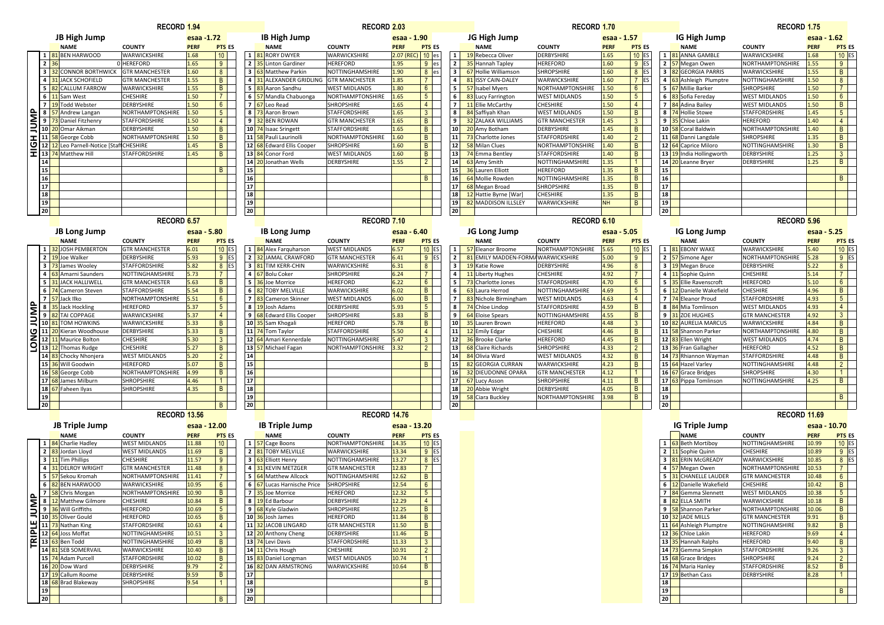|          |                                           |                                                                                                                                                                                                                                      | <b>RECORD 1.94</b>                             |                |                      |                       |                                             | <b>RECORD 2.03</b>                      |                |                          |                       |                                            | <b>RECORD 1.70</b>                      |              |                     |                                   |                                               | <b>RECORD 1.75</b>                      |                |                     |
|----------|-------------------------------------------|--------------------------------------------------------------------------------------------------------------------------------------------------------------------------------------------------------------------------------------|------------------------------------------------|----------------|----------------------|-----------------------|---------------------------------------------|-----------------------------------------|----------------|--------------------------|-----------------------|--------------------------------------------|-----------------------------------------|--------------|---------------------|-----------------------------------|-----------------------------------------------|-----------------------------------------|----------------|---------------------|
|          |                                           | <b>JB High Jump</b>                                                                                                                                                                                                                  |                                                | esaa -1.72     |                      |                       | <b>IB High Jump</b>                         |                                         | esaa - 1.90    |                          |                       | JG High Jump                               |                                         | esaa - 1.57  |                     |                                   | IG High Jump                                  |                                         | esaa - 1.62    |                     |
|          |                                           | <b>NAME</b>                                                                                                                                                                                                                          | <b>COUNTY</b>                                  | <b>PERF</b>    | <b>PTS ES</b>        |                       | <b>NAME</b>                                 | <b>COUNTY</b>                           | <b>PERF</b>    | <b>PTS ES</b>            |                       | <b>NAME</b>                                | <b>COUNTY</b>                           | <b>PERF</b>  | <b>PTS ES</b>       |                                   | <b>NAME</b>                                   | <b>COUNTY</b>                           | <b>PERF</b>    | <b>PTS ES</b>       |
|          |                                           | 81 BEN HARWOOD                                                                                                                                                                                                                       | WARWICKSHIRE                                   | 1.68           | 10                   |                       | 1 81 RORY DWYER                             | WARWICKSHIRE                            | 2.07 (REC)     | $10$ es                  | $\mathbf{1}$          | 19 Rebecca Oliver                          | DERBYSHIRE                              | 1.65         | $10$ ES             |                                   | 1 81 ANNA GAMBLE                              | WARWICKSHIRE                            | 1.68           | $10$ ES             |
|          | $\overline{2}$                            | 32 CONNOR BORTHWICK                                                                                                                                                                                                                  | 0 HEREFORD                                     | 1.65           | 9                    |                       | 2 35 Linton Gardiner<br>3 63 Matthew Parkin | <b>HEREFORD</b>                         | 1.95           | $9$ es                   | $\overline{2}$        | <b>35</b> Hannah Tapley                    | <b>HEREFORD</b><br><b>SHROPSHIRE</b>    | 1.60         | $9$ ES              |                                   | 2 57 Megan Owen                               | <b>NORTHAMPTONSHIRE</b>                 | 1.55           | 9                   |
|          | $\overline{\mathbf{3}}$<br>$\overline{4}$ | <b>31 JACK SCHOFIELD</b>                                                                                                                                                                                                             | <b>GTR MANCHESTER</b><br><b>GTR MANCHESTER</b> | 1.60<br>1.55   | 8<br>$\overline{B}$  |                       | 4 31 ALEXANDER GRIDLING GTR MANCHESTER      | NOTTINGHAMSHIRE                         | 1.90<br>1.85   | $8$ es<br>$\overline{7}$ | 3 <sup>1</sup><br>4   | 67 Hollie Williamson<br>81 ISSY CAIN-DALEY | WARWICKSHIRE                            | 1.60<br>1.60 | $8$ ES<br>$7$ ES    |                                   | 3 82 GEORGIA PARRIS<br>4 63 Ashleigh Plumptre | WARWICKSHIRE<br>NOTTINGHAMSHIRE         | 1.55<br>1.50   | B<br>8 <sup>1</sup> |
|          | 5                                         | 82 CALLUM FARROW                                                                                                                                                                                                                     | WARWICKSHIRE                                   | 1.55           | $\overline{B}$       |                       | 5 83 Aaron Sandhu                           | <b>WEST MIDLANDS</b>                    | 1.80           | 6 <sup>1</sup>           | 5                     | 57 Isabel Myers                            | NORTHAMPTONSHIRE                        | 1.50         | 6 <sup>1</sup>      |                                   | 5 67 Millie Barker                            | <b>SHROPSHIRE</b>                       | 1.50           | 7 <sup>1</sup>      |
|          |                                           | 6 11 Sam West                                                                                                                                                                                                                        | CHESHIRE                                       | 1.50           | $\overline{7}$       |                       | 6 57 Mandla Chabuonga                       | NORTHAMPTONSHIRE                        | 1.65           | 5 <sup>5</sup>           | 6                     | 83 Lucy Farrington                         | <b>WEST MIDLANDS</b>                    | 1.50         | 5 <sup>5</sup>      |                                   | 6 83 Sofia Fereday                            | <b>WEST MIDLANDS</b>                    | 1.50           | 6 <sup>1</sup>      |
|          |                                           | 7 3 Todd Webster                                                                                                                                                                                                                     | DERBYSHIRE                                     | 1.50           | $6\overline{6}$      |                       | 7 67 Leo Read                               | <b>SHROPSHIRE</b>                       | 1.65           | 4 <sup>1</sup>           | $\overline{7}$        | 11 Ellie McCarthy                          | CHESHIRE                                | 1.50         | 4                   |                                   | 7 84 Adina Bailey                             | <b>WEST MIDLANDS</b>                    | 1.50           | B                   |
|          |                                           | 8 57 Andrew Langan<br>9 73 Daniel Fitzhenry<br>10 20 Omar Aikman                                                                                                                                                                     | NORTHAMPTONSHIRE                               | 1.50           | 5 <sub>5</sub>       |                       | 8 73 Aaron Brown                            | <b>STAFFORDSHIRE</b>                    | 1.65           | 3 <sup>1</sup>           | 8                     | 84 Saffiyah Khan                           | <b>WEST MIDLANDS</b>                    | 1.50         | B                   |                                   | 8 74 Hollie Stowe                             | <b>STAFFORDSHIRE</b>                    | 1.45           | 5 <sup>1</sup>      |
|          |                                           |                                                                                                                                                                                                                                      | <b>STAFFORDSHIRE</b>                           | 1.50           | $\overline{4}$       |                       | 9 32 BEN ROWAN                              | <b>GTR MANCHESTEF</b>                   | 1.65           | B                        | 9                     | 32 ZALAKA WILLIAMS                         | <b>GTR MANCHESTER</b>                   | 1.45         | 3 <sup>1</sup>      |                                   | 9 35 Chloe Lakin                              | <b>HEREFORD</b>                         | 1.40           | 4 <sup>1</sup>      |
|          |                                           |                                                                                                                                                                                                                                      | <b>DERBYSHIRE</b>                              | 1.50           | B                    |                       | 10 74 Isaac Sringett                        | <b>STAFFORDSHIRE</b>                    | 1.65           | B                        | 10 <sup>1</sup>       | 20 Amy Botham                              | DERBYSHIRE                              | 1.45         | B                   |                                   | 10 58 Coral Baldwin                           | NORTHAMPTONSHIRE                        | 1.40           | B                   |
| <b>I</b> |                                           | 11 58 George Cobb                                                                                                                                                                                                                    | NORTHAMPTONSHIRE                               | 1.50           | $\overline{B}$       |                       | 11 58 Pauli Laurinolli                      | <b>NORTHAMPTONSHIRE</b>                 | 1.60           | $\overline{B}$           | 11                    | 73 Charlotte Jones                         | STAFFORDSHIRE                           | 1.40         | $2^{\circ}$         |                                   | 11 68 Danni Langdale                          | <b>SHROPSHIRE</b>                       | 1.35           | B                   |
|          |                                           | 0 12 12 Leo Parnell-Notice [Staf                                                                                                                                                                                                     | <b>CHESHIRE</b>                                | 1.45           | B                    |                       | 12 68 Edward Ellis Cooper                   | <b>SHROPSHIRE</b>                       | 1.60           | B                        | 12                    | 58 Milan Clues                             | NORTHAMPTONSHIRE                        | 1.40         | B                   |                                   | 12 64 Caprice Miloro                          | NOTTINGHAMSHIRE                         | 1.30           | B                   |
|          |                                           | 13 74 Matthew Hill                                                                                                                                                                                                                   | <b>STAFFORDSHIRE</b>                           | 1.45           | $\overline{B}$       |                       | 13 84 Conor Ford                            | <b>WEST MIDLANDS</b>                    | 1.60           | B                        |                       | 13 74 Emma Bentley                         | STAFFORDSHIRE                           | .40          | B                   |                                   | 13 19 India Hollingworth                      | <b>DERBYSHIRE</b>                       | 1.25           | 3 <sup>1</sup>      |
|          | 14<br>15                                  |                                                                                                                                                                                                                                      |                                                |                | $\overline{B}$       | 15                    | 14 20 Jonathan Wells                        | <b>DERBYSHIRE</b>                       | 1.55           | $2 \mid$                 | 14<br>15 <sup>1</sup> | 63 Amy Smith<br>36 Lauren Elliott          | NOTTINGHAMSHIRE<br><b>HEREFORD</b>      | 1.35<br>1.35 | 1 <sup>1</sup><br>B | $14 \overline{\smash{)}20}$<br>15 | Leanne Bryer                                  | <b>DERBYSHIRE</b>                       | 1.25           | B                   |
|          | 16                                        |                                                                                                                                                                                                                                      |                                                |                |                      | 16                    |                                             |                                         |                | B                        | 16                    | 64 Mollie Rowden                           | NOTTINGHAMSHIRE                         | 1.35         | B                   | 16                                |                                               |                                         |                | B                   |
|          | 17                                        |                                                                                                                                                                                                                                      |                                                |                |                      | 17                    |                                             |                                         |                |                          | 17 <sup>1</sup>       | 68 Megan Broad                             | SHROPSHIRE                              | 1.35         | $\mathsf{B}$        | 17                                |                                               |                                         |                |                     |
|          | 18                                        |                                                                                                                                                                                                                                      |                                                |                |                      | 18                    |                                             |                                         |                |                          | 18                    | 12 Hattie Byrne [War]                      | CHESHIRE                                | 1.35         | B                   | 18                                |                                               |                                         |                |                     |
|          | 19                                        |                                                                                                                                                                                                                                      |                                                |                |                      | 19                    |                                             |                                         |                |                          | 19                    | 82 MADDISON ILLSLEY                        | WARWICKSHIRE                            | <b>NH</b>    | B                   | 19                                |                                               |                                         |                |                     |
|          | 20 <sup>1</sup>                           |                                                                                                                                                                                                                                      |                                                |                |                      | 20 <sup>1</sup>       |                                             |                                         |                |                          | 20                    |                                            |                                         |              |                     | 20 <sup>1</sup>                   |                                               |                                         |                |                     |
|          |                                           |                                                                                                                                                                                                                                      | RECORD <sub>6.57</sub>                         |                |                      |                       |                                             | RECORD <sub>7.10</sub>                  |                |                          |                       |                                            | RECORD <sub>6.10</sub>                  |              |                     |                                   |                                               | RECORD <sub>5.96</sub>                  |                |                     |
|          |                                           | JB Long Jump                                                                                                                                                                                                                         |                                                | esaa - 5.80    |                      |                       | IB Long Jump                                |                                         | esaa - 6.40    |                          |                       | JG Long Jump                               |                                         | esaa - 5.05  |                     |                                   | <b>IG Long Jump</b>                           |                                         | esaa - 5.25    |                     |
|          |                                           | <b>NAME</b>                                                                                                                                                                                                                          | <b>COUNTY</b>                                  | <b>PERF</b>    | <b>PTS ES</b>        |                       | <b>NAME</b>                                 | <b>COUNTY</b>                           | <b>PERF</b>    | <b>PTS ES</b>            |                       | <b>NAME</b>                                | <b>COUNTY</b>                           | <b>PERF</b>  | <b>PTS ES</b>       |                                   | <b>NAME</b>                                   | <b>COUNTY</b>                           | <b>PERF</b>    | <b>PTS ES</b>       |
|          | 1                                         | <b>82</b> JOSH PEMBERTON                                                                                                                                                                                                             | <b>GTR MANCHESTER</b>                          | 6.01           | $10$ ES              |                       | 1 84 Alex Farguharson                       | <b>WEST MIDLANDS</b>                    | 6.57           | $10$ ES                  | 1 <sup>1</sup>        | 57 Eleanor Broome                          | NORTHAMPTONSHIRE                        | 5.65         | $10$ ES             |                                   | 1 81 EBONY WAKE                               | WARWICKSHIRE                            | $5.40$         | $10$ ES             |
|          |                                           | 2 19Joe Walker                                                                                                                                                                                                                       | <b>DERBYSHIRE</b>                              | 5.93           | $9$ ES               |                       | 2 32 JAMAL CRAWFORD                         | <b>GTR MANCHESTER</b>                   | 6.41           | $9$ ES                   | $\overline{2}$        | 81 EMILY MADDEN-FORMA WARWICKSHIRE         |                                         | 5.00         | 9 <sup>1</sup>      |                                   | 2 57 Simone Ager                              | NORTHAMPTONSHIRE                        | 5.28           | $9$ ES              |
|          |                                           | 3 73 James Wooley                                                                                                                                                                                                                    | <b>STAFFORDSHIRE</b>                           | 5.82           | $8$ ES               |                       | 3 81 TIM KERR-CHIN                          | WARWICKSHIRE                            | 6.31           | 8 <sup>1</sup>           | 3                     | 19 Katie Rowe                              | DERBYSHIRE                              | 4.96         | 8 <sup>1</sup>      |                                   | 3 19 Megan Bruce                              | DERBYSHIRE                              | 5.22           | 8 <sup>1</sup>      |
|          | $\overline{4}$                            | 63 Amarni Saunders                                                                                                                                                                                                                   | NOTTINGHAMSHIRE                                | 5.73           | $\overline{7}$       |                       | 4 67 Bolu Coker                             | <b>SHROPSHIRE</b>                       | 6.24           | 7 <sup>1</sup>           | $\overline{a}$        | 11 Liberty Hughes                          | CHESHIRE                                | 4.92         | 7 <sup>1</sup>      |                                   | 4 11 Sophie Quinn                             | <b>CHESHIRE</b>                         | 5.14           | 7 <sup>1</sup>      |
|          | 5                                         | <b>31 JACK HALLIWELL</b>                                                                                                                                                                                                             | <b>GTR MANCHESTER</b>                          | 5.63           | B                    |                       | 5 36 Joe Morrice                            | <b>HEREFORD</b>                         | 6.22           | 6 <sup>1</sup>           | 5                     | 73 Charlotte Jones                         | STAFFORDSHIRE                           | 4.70         | 6 <sup>1</sup>      |                                   | 5 35 Ellie Ravenscroft                        | <b>HEREFORD</b>                         | 5.10           | 6 <sup>1</sup>      |
|          |                                           | 6 74 Cameron Steven                                                                                                                                                                                                                  | <b>STAFFORDSHIRE</b><br>NORTHAMPTONSHIRE       | 5.54<br>5.51   | B<br>$6\overline{6}$ |                       | 6 82 TOBY MELVILLE<br>7 83 Cameron Skinner  | WARWICKSHIRE<br><b>WEST MIDLANDS</b>    | 6.02<br>6.00   | B<br>B                   | 6<br>$\overline{7}$   | 63 Laura Herrod<br>83 Nichole Birmingham   | NOTTINGHAMSHIRE<br><b>WEST MIDLANDS</b> | 4.69<br>4.63 | 5 <sub>1</sub><br>4 |                                   | 6 12 Danielle Wakefield<br>7 74 Eleanor Proud | <b>CHESHIRE</b><br><b>STAFFORDSHIRE</b> | 4.96           | B<br>5 <sup>1</sup> |
|          |                                           | 57 Jack Ilko<br>8 35 Jack Hockling                                                                                                                                                                                                   | <b>HEREFORD</b>                                | 5.37           | 5 <sup>5</sup>       |                       | 8 3 Josh Adams                              | <b>DERBYSHIRE</b>                       | 5.93           | 5 <sup>5</sup>           | 8                     | 74 Chloe Lindop                            | <b>STAFFORDSHIRE</b>                    | 4.59         | B                   |                                   | 8 84 Mia Tomlinson                            | <b>WEST MIDLANDS</b>                    | 4.93<br>4.93   | 4                   |
| JUMP     |                                           | 9 82 TAI COPPAGE                                                                                                                                                                                                                     | WARWICKSHIRE                                   | 5.37           | $\overline{4}$       |                       | 9 68 Edward Ellis Cooper                    | <b>SHROPSHIRE</b>                       | 5.83           | B                        | 9                     | <b>64</b> Eloise Spears                    | NOTTINGHAMSHIRE                         | 4.55         | B                   |                                   | 9 31 ZOE HUGHES                               | <b>GTR MANCHESTER</b>                   | 4.92           | 3 <sup>1</sup>      |
|          |                                           | 10 81 TOM HOWKINS                                                                                                                                                                                                                    | WARWICKSHIRE                                   | 5.33           | $\mathsf{B}$         |                       | 10 35 Sam Khogali                           | <b>HEREFORD</b>                         | 5.78           | B                        | 10                    | 35 Lauren Brown                            | <b>HEREFORD</b>                         | 4.48         | 3 <sup>1</sup>      |                                   | 10 82 AURELIA MARCUS                          | WARWICKSHIRE                            | 4.84           | B                   |
|          |                                           | 11 20 Kieran Woodhouse                                                                                                                                                                                                               | <b>DERBYSHIRE</b>                              | 5.33           | B                    |                       | 11 74 Tom Taylor                            | <b>STAFFORDSHIRE</b>                    | 5.50           | $4 \mid$                 | 11                    | 12 Emily Edgar                             | CHESHIRE                                | 4.46         | B                   |                                   | 11 58 Shannon Parker                          | <b>NORTHAMPTONSHIRE</b>                 | 4.80           | B                   |
| z        |                                           | 12 11 Maurice Bolton                                                                                                                                                                                                                 | CHESHIRE                                       | 5.30           | 3 <sup>1</sup>       |                       | 12 64 Amari Kennerdale                      | NOTTINGHAMSHIRE                         | 5.47           | 3 <sup>1</sup>           | 12                    | 36 Brooke Clarke                           | <b>HEREFORD</b>                         | 4.45         | B                   |                                   | 12 83 Ellen Wright                            | <b>WEST MIDLANDS</b>                    | 4.74           | B                   |
| $\circ$  |                                           | 13 12 Thomas Rudge                                                                                                                                                                                                                   | CHESHIRE                                       | 5.27           | B                    |                       | 13 57 Michael Fagan                         | NORTHAMPTONSHIRE                        | 3.32           | $2 \mid$                 | 13                    | 68 Claire Richards                         | SHROPSHIRE                              | 4.33         | $2^{\circ}$         |                                   | 13 36 Fran Gallagher                          | <b>HEREFORD</b>                         | 4.52           | B                   |
|          |                                           | 14 83 Chocky Nhonjera                                                                                                                                                                                                                | <b>WEST MIDLANDS</b>                           | 5.20           | $\overline{2}$       | 14                    |                                             |                                         |                |                          | 14                    | 84 Olivia Ward                             | <b>WEST MIDLANDS</b>                    | 4.32         | B                   |                                   | 14 73 Rhiannon Wayman                         | <b>STAFFORDSHIRE</b>                    | 4.48           | B                   |
|          |                                           | 15 36 Will Goodwin                                                                                                                                                                                                                   | <b>HEREFORD</b>                                | 5.07           | B                    | 15                    |                                             |                                         |                | B                        | 15 <sup>1</sup>       | 82 GEORGIA CURRAN                          | WARWICKSHIRE                            | 4.23         | B                   |                                   | 15 64 Hazel Varley                            | NOTTINGHAMSHIRE                         | 4.48           | 2 <sup>1</sup>      |
|          |                                           | 16 58 George Cobb                                                                                                                                                                                                                    | NORTHAMPTONSHIRE                               | 4.99           | $\overline{B}$       | 16                    |                                             |                                         |                |                          | 16 <sup>1</sup>       | <b>32 DIEUDONNE OPARA</b>                  | <b>GTR MANCHESTER</b>                   | 4.12         | $\mathbf{1}$        |                                   | 16 67 Grace Bridges                           | <b>SHROPSHIRE</b>                       | 4.30           | 1                   |
|          |                                           | 17 68 James Milburn                                                                                                                                                                                                                  | SHROPSHIRE                                     | 4.46           | $\mathbf{1}$         | 17                    |                                             |                                         |                |                          | 17                    | 67 Lucy Asson                              | SHROPSHIRE                              | 4.11         | $\mathsf{B}$        |                                   | 17 63 Pippa Tomlinson                         | NOTTINGHAMSHIRE                         | 4.25           | B                   |
|          |                                           | 18 67 Faheen Ilyas                                                                                                                                                                                                                   | SHROPSHIRE                                     | 4.35           | $\overline{B}$       | 18                    |                                             |                                         |                |                          | 18                    | 20 Abbie Wright                            | DERBYSHIRE                              | 4.05         | B                   | 18                                |                                               |                                         |                |                     |
|          | 19                                        |                                                                                                                                                                                                                                      |                                                |                | B                    | 19<br>20 <sup>1</sup> |                                             |                                         |                |                          | 19<br>20              | 58 Ciara Buckley                           | NORTHAMPTONSHIRE                        | 3.98         | B                   | 19<br>20 <sup>1</sup>             |                                               |                                         |                | B                   |
|          | 20 <sub>1</sub>                           |                                                                                                                                                                                                                                      | <b>RECORD 13.56</b>                            |                |                      |                       |                                             | <b>RECORD 14.76</b>                     |                |                          |                       |                                            |                                         |              |                     |                                   |                                               | RECORD 11.69                            |                |                     |
|          |                                           |                                                                                                                                                                                                                                      |                                                |                |                      |                       |                                             |                                         |                |                          |                       |                                            |                                         |              |                     |                                   |                                               |                                         |                |                     |
|          |                                           | JB Triple Jump                                                                                                                                                                                                                       |                                                | esaa - 12.00   |                      |                       | <b>IB Triple Jump</b>                       |                                         | esaa - 13.20   |                          |                       |                                            |                                         |              |                     |                                   | <b>IG Triple Jump</b>                         |                                         | esaa - 10.70   |                     |
|          |                                           | <b>NAME</b>                                                                                                                                                                                                                          | <b>COUNTY</b>                                  | <b>PERF</b>    | <b>PTS ES</b>        |                       | <b>NAME</b>                                 | <b>COUNTY</b>                           | <b>PERF</b>    | <b>PTS ES</b>            |                       |                                            |                                         |              |                     |                                   | <b>NAME</b>                                   | <b>COUNTY</b>                           | <b>PERF</b>    | <b>PTS ES</b>       |
|          |                                           | 1 84 Charlie Hadley<br>2 83 Jordan Lloyd                                                                                                                                                                                             | <b>WEST MIDLANDS</b>                           | 11.88<br>11.69 | 10<br>B              |                       | 1 57 Cage Boons<br>2 81 TOBY MELVILLE       | <b>NORTHAMPTONSHIRE</b><br>WARWICKSHIRE | 14.35<br>13.34 | $10$ ES<br>$9$ ES        |                       |                                            |                                         |              |                     |                                   | 1 63 Beth Mortiboy<br>2 11 Sophie Quinn       | NOTTINGHAMSHIRE<br><b>CHESHIRE</b>      | 10.99<br>10.89 | $10$ ES<br>$9$ ES   |
|          |                                           | 3 11 Tim Phillips                                                                                                                                                                                                                    | <b>WEST MIDLANDS</b><br>CHESHIRE               | 11.57          | 9                    |                       | 3 63 Elliott Henry                          | NOTTINGHAMSHIRE                         | 13.27          | $8$ ES                   |                       |                                            |                                         |              |                     |                                   | 3 81 ERIN McGREADY                            | WARWICKSHIRE                            | 10.85          | 8 ES                |
|          |                                           | 4 31 DELROY WRIGHT                                                                                                                                                                                                                   | <b>GTR MANCHESTER</b>                          | 11.48          | 8                    |                       | 4 31 KEVIN METZGER                          | <b>GTR MANCHESTER</b>                   | 12.83          | 7 <sup>1</sup>           |                       |                                            |                                         |              |                     |                                   | 4 57 Megan Owen                               | NORTHAMPTONSHIRE                        | 10.53          | 7 <sup>1</sup>      |
|          |                                           | 5 57 Sekou Kromah                                                                                                                                                                                                                    | NORTHAMPTONSHIRE                               | 11.41          | $\overline{7}$       |                       | 5 64 Matthew Allcock                        | NOTTINGHAMSHIRE                         | 12.62          | B                        |                       |                                            |                                         |              |                     |                                   | 5 31 CHANELLE LAUDER                          | <b>GTR MANCHESTER</b>                   | 10.48          | 6 <sup>1</sup>      |
|          |                                           | 6 82 BEN HARWOOD                                                                                                                                                                                                                     | WARWICKSHIRE                                   | 10.95          | 6 <sup>1</sup>       |                       | 6 67 Lucas Harnische Price                  | <b>SHROPSHIRE</b>                       | 12.54          | $6 \mid$                 |                       |                                            |                                         |              |                     |                                   | 6 12 Danielle Wakefield                       | <b>CHESHIRE</b>                         | 10.42          | $\vert$ B           |
|          |                                           | 7 58 Chris Morgan                                                                                                                                                                                                                    | NORTHAMPTONSHIRE                               | 10.90          | B                    |                       | 7 35 Joe Morrice                            | <b>HEREFORD</b>                         | 12.32          | 5 <sub>1</sub>           |                       |                                            |                                         |              |                     |                                   | 7 84 Gemma Slennett                           | <b>WEST MIDLANDS</b>                    | 10.38          | 5 <sub>5</sub>      |
|          |                                           |                                                                                                                                                                                                                                      | CHESHIRE                                       | 10.84          | B                    |                       | 8 19 Ed Barbour                             | <b>DERBYSHIRE</b>                       | 12.29          | 4 <sup>1</sup>           |                       |                                            |                                         |              |                     |                                   | 8 82 ELLA SMITH                               | WARWICKSHIRE                            | 10.18          | B                   |
|          |                                           |                                                                                                                                                                                                                                      | <b>HEREFORD</b>                                | 10.69          | 5 <sup>5</sup>       |                       | 9 68 Kyle Gladwin                           | <b>SHROPSHIRE</b>                       | 12.25          | B                        |                       |                                            |                                         |              |                     |                                   | 9 58 Shannon Parker                           | NORTHAMPTONSHIRE                        | 10.06          | B                   |
|          |                                           | <b>Example 15 Start School Start School Start Start Start Start Start Start Start Start Start Start Start Start Start Start Start Start Start Start Start Start Start Start Start Start Start Start Start Start Start Start Star</b> | <b>HEREFORD</b>                                | 10.65          | $\vert$ B            |                       | 10 36 Josh James                            | <b>HEREFORD</b>                         | 11.84          | B                        |                       |                                            |                                         |              |                     |                                   | 10 32 JADE MILLS                              | <b>GTR MANCHESTER</b>                   | 9.91           | $\mathbf{B}$        |
|          |                                           | 10 35 Oliver Gould<br>11 73 Nathan King<br>12 64 Joss Moffat<br>14 81 SFB SOMERV                                                                                                                                                     | <b>STAFFORDSHIRE</b>                           | 10.63          | 4 <sup>1</sup>       |                       | 11 32 JACOB LINGARD                         | <b>GTR MANCHESTER</b>                   | 11.50          | B                        |                       |                                            |                                         |              |                     |                                   | 11 64 Ashleigh Plumptre                       | NOTTINGHAMSHIRE                         | 9.82           | B                   |
|          |                                           |                                                                                                                                                                                                                                      | NOTTINGHAMSHIRE                                | 10.51          | 3 <sup>3</sup>       |                       | 12 20 Anthony Cheng                         | <b>DERBYSHIRE</b>                       | 11.46          | B                        |                       |                                            |                                         |              |                     |                                   | 12 36 Chloe Lakin                             | <b>HEREFORD</b>                         | 9.69           | 4                   |
|          |                                           | 14 81 SEB SOMERVAIL                                                                                                                                                                                                                  | NOTTINGHAMSHIRE                                | 10.49          | $\vert$ B            |                       | 13 74 Levi Davis                            | <b>STAFFORDSHIRE</b>                    | 11.33          | 3 <sup>1</sup>           |                       |                                            |                                         |              |                     |                                   | 13 35 Hannah Ralphs                           | <b>HEREFORD</b>                         | 9.40           | B                   |
|          |                                           |                                                                                                                                                                                                                                      | WARWICKSHIRE                                   | 10.40          | B                    |                       | 14 11 Chris Hough                           | <b>CHESHIRE</b>                         | 10.91          | $2 \mid$                 |                       |                                            |                                         |              |                     |                                   | 14 73 Gemma Simpkin                           | <b>STAFFORDSHIRE</b>                    | 9.26           | 3 <sup>1</sup>      |
|          |                                           |                                                                                                                                                                                                                                      |                                                |                |                      |                       |                                             |                                         |                |                          |                       |                                            |                                         |              |                     |                                   |                                               |                                         |                |                     |
|          |                                           | 15 74 Adam Purcell                                                                                                                                                                                                                   | <b>STAFFORDSHIRE</b>                           | 10.02          | B                    |                       | 15 83 Daniel Longman                        | <b>WEST MIDLANDS</b>                    | 10.74          | 1                        |                       |                                            |                                         |              |                     |                                   | 15 68 Grace Bridges                           | <b>SHROPSHIRE</b>                       | 9.24           | $2^{\circ}$         |
|          |                                           | 16 20 Dow Ward                                                                                                                                                                                                                       | <b>DERBYSHIRE</b>                              | 9.79           | $2^{\circ}$          |                       | 16 82 DAN ARMSTRONG                         | WARWICKSHIRE                            | 10.64          | B                        |                       |                                            |                                         |              |                     |                                   | 16 74 Maria Hanley                            | <b>STAFFORDSHIRE</b>                    | 8.52           | B                   |
|          |                                           | 17 19 Callum Roome                                                                                                                                                                                                                   | <b>DERBYSHIRE</b>                              | 9.59           | B                    | 17                    |                                             |                                         |                |                          |                       |                                            |                                         |              |                     |                                   | 17 19 Bethan Cass                             | <b>DERBYSHIRE</b>                       | 8.28           | 1 <sup>1</sup>      |
|          | 19                                        | 18 68 Brad Blakeway                                                                                                                                                                                                                  | <b>SHROPSHIRE</b>                              | 9.54           | $\overline{1}$       | 18<br>19              |                                             |                                         |                | B                        |                       |                                            |                                         |              |                     | <b>18</b><br>19                   |                                               |                                         |                | B                   |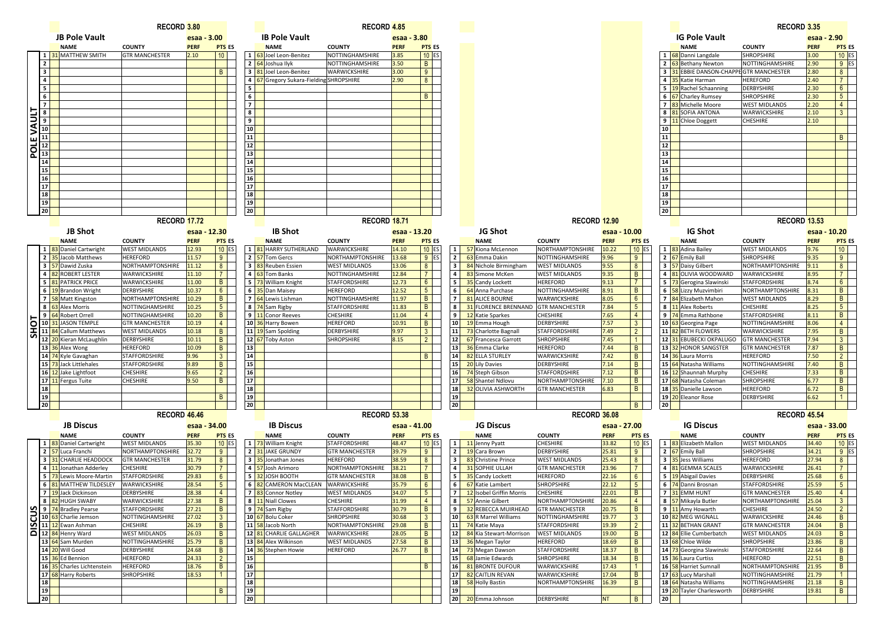|                  |                              |                                                                  | RECORD <sub>3.80</sub>                   |                      |                          |                 |                                             | <b>RECORD 4.85</b>                   |                      |                                  |                         |                                              |                                          |                      |                                |                 |                                               | RECORD <sub>3.35</sub>                        |                     |                                  |
|------------------|------------------------------|------------------------------------------------------------------|------------------------------------------|----------------------|--------------------------|-----------------|---------------------------------------------|--------------------------------------|----------------------|----------------------------------|-------------------------|----------------------------------------------|------------------------------------------|----------------------|--------------------------------|-----------------|-----------------------------------------------|-----------------------------------------------|---------------------|----------------------------------|
|                  |                              | <b>JB Pole Vault</b>                                             |                                          | esaa - 3.00          |                          |                 | <b>IB Pole Vault</b>                        |                                      | esaa - 3.80          |                                  |                         |                                              |                                          |                      |                                |                 | <b>IG Pole Vault</b>                          |                                               | esaa - 2.90         |                                  |
|                  |                              | <b>NAME</b>                                                      | <b>COUNTY</b>                            | <b>PERF</b>          | <b>PTS ES</b>            |                 | <b>NAME</b>                                 | <b>COUNTY</b>                        | <b>PERF</b>          | <b>PTS ES</b>                    |                         |                                              |                                          |                      |                                |                 | <b>NAME</b>                                   | <b>COUNTY</b>                                 | <b>PERF</b>         | <b>PTS ES</b>                    |
|                  | 1                            | <b>31 MATTHEW SMITH</b>                                          | <b>GTR MANCHESTER</b>                    | 2.10                 | 10 <sup>1</sup>          |                 | 1 63 Joel Leon-Benitez                      | NOTTINGHAMSHIRE                      | 3.85                 | $10$ ES                          |                         |                                              |                                          |                      |                                |                 | 1 68 Danni Langdale                           | <b>SHROPSHIRE</b>                             | 3.00                | $10$ ES                          |
|                  | $\overline{2}$               |                                                                  |                                          |                      |                          |                 | 2 64 Joshua Ilyk                            | NOTTINGHAMSHIRE                      | 3.50                 | $\mathsf{B}$                     |                         |                                              |                                          |                      |                                |                 | 2 63 Bethany Newton                           | NOTTINGHAMSHIRE                               | 2.90                | $9$ ES                           |
|                  | $\overline{\mathbf{3}}$      |                                                                  |                                          |                      | B                        |                 | 3 81 Joel Leon-Benitez                      | WARWICKSHIRE                         | 3.00                 | 9                                |                         |                                              |                                          |                      |                                |                 | 3 31 EBBIE DANSON-CHAPPE GTR MANCHESTER       |                                               | 2.80                | 8                                |
|                  | $\overline{\mathbf{4}}$<br>5 |                                                                  |                                          |                      |                          | 5 I             | 4 67 Gregory Sukara-Fielding SHROPSHIRE     |                                      | 2.90                 | 8                                |                         |                                              |                                          |                      |                                |                 | 4 35 Katie Harman<br>5 3 Rachel Schaanning    | <b>HEREFORD</b><br><b>DERBYSHIRE</b>          | 2.40<br>2.30        | 7 <sup>1</sup><br>$6 \mid$       |
|                  | 6                            |                                                                  |                                          |                      |                          | 6               |                                             |                                      |                      | B                                |                         |                                              |                                          |                      |                                |                 | 6 67 Charley Rumsey                           | <b>SHROPSHIRE</b>                             | 2.30                | 5 <sup>1</sup>                   |
|                  | $\overline{7}$               |                                                                  |                                          |                      |                          | 7 <sup>1</sup>  |                                             |                                      |                      |                                  |                         |                                              |                                          |                      |                                |                 | 7 83 Michelle Moore                           | <b>WEST MIDLANDS</b>                          | 2.20                | 4                                |
|                  | $\overline{\mathbf{8}}$      |                                                                  |                                          |                      |                          | 8 <sup>1</sup>  |                                             |                                      |                      |                                  |                         |                                              |                                          |                      |                                | 8               | 81 SOFIA ANTONA                               | WARWICKSHIRE                                  | 2.10                | 3 <sup>1</sup>                   |
| <b>OLE VAULT</b> | 9                            |                                                                  |                                          |                      |                          | 9 <sup>1</sup>  |                                             |                                      |                      |                                  |                         |                                              |                                          |                      |                                |                 | 9 11 Chloe Doggett                            | <b>CHESHIRE</b>                               | 2.10                |                                  |
|                  | 10                           |                                                                  |                                          |                      |                          | 10 <sup>1</sup> |                                             |                                      |                      |                                  |                         |                                              |                                          |                      |                                | 10              |                                               |                                               |                     |                                  |
|                  | ${\bf 11}$                   |                                                                  |                                          |                      |                          | 11              |                                             |                                      |                      |                                  |                         |                                              |                                          |                      |                                | 11              |                                               |                                               |                     | B                                |
|                  | 12<br>13                     |                                                                  |                                          |                      |                          | 12<br>13        |                                             |                                      |                      |                                  |                         |                                              |                                          |                      |                                | 12<br>13        |                                               |                                               |                     |                                  |
| ᅀ                | 14                           |                                                                  |                                          |                      |                          | 14              |                                             |                                      |                      |                                  |                         |                                              |                                          |                      |                                | 14              |                                               |                                               |                     |                                  |
|                  | 15                           |                                                                  |                                          |                      |                          | 15              |                                             |                                      |                      |                                  |                         |                                              |                                          |                      |                                | 15              |                                               |                                               |                     |                                  |
|                  | 16                           |                                                                  |                                          |                      |                          | 16              |                                             |                                      |                      |                                  |                         |                                              |                                          |                      |                                | 16              |                                               |                                               |                     |                                  |
|                  | 17                           |                                                                  |                                          |                      |                          | 17              |                                             |                                      |                      |                                  |                         |                                              |                                          |                      |                                | 17              |                                               |                                               |                     |                                  |
|                  | 18                           |                                                                  |                                          |                      |                          | 18              |                                             |                                      |                      |                                  |                         |                                              |                                          |                      |                                | 18              |                                               |                                               |                     |                                  |
|                  | 19                           |                                                                  |                                          |                      |                          | 19              |                                             |                                      |                      |                                  |                         |                                              |                                          |                      |                                | 19              |                                               |                                               |                     |                                  |
|                  | 20                           |                                                                  | <b>RECORD 17.72</b>                      |                      |                          | 20              |                                             | <b>RECORD 18.71</b>                  |                      |                                  |                         |                                              | <b>RECORD 12.90</b>                      |                      |                                | 20              |                                               | <b>RECORD 13.53</b>                           |                     |                                  |
|                  |                              | <b>JB Shot</b>                                                   |                                          |                      |                          |                 | <b>IB Shot</b>                              |                                      |                      |                                  |                         | JG Shot                                      |                                          |                      |                                |                 | <b>IG Shot</b>                                |                                               |                     |                                  |
|                  |                              |                                                                  |                                          | esaa - 12.30         |                          |                 |                                             |                                      | esaa - 13.20         |                                  |                         | <b>NAME</b>                                  |                                          | esaa - 10.00         |                                |                 |                                               |                                               | esaa - 10.20        |                                  |
|                  |                              | <b>NAME</b><br>1 83 Daniel Cartwright                            | <b>COUNTY</b><br><b>WEST MIDLANDS</b>    | <b>PERF</b><br>12.93 | <b>PTS ES</b><br>$10$ ES |                 | <b>NAME</b><br>1 81 HARRY SUTHERLAND        | <b>COUNTY</b><br>WARWICKSHIRE        | <b>PERF</b><br>14.10 | <b>PTS ES</b><br>$10$ ES         | $1 \vert$               | 57 Kiona McLennon                            | <b>COUNTY</b><br><b>NORTHAMPTONSHIRE</b> | <b>PERF</b><br>10.22 | <b>PTS ES</b><br>$10$ ES       |                 | <b>NAME</b><br>1 83 Adina Bailey              | <b>COUNTY</b><br><b>WEST MIDLANDS</b>         | <b>PERF</b><br>9.76 | <b>PTS ES</b><br>10              |
|                  |                              | 2 35 Jacob Matthews                                              | <b>HEREFORD</b>                          | 11.57                | 9                        |                 | 2 57 Tom Gercs                              | NORTHAMPTONSHIRE                     | 13.68                | $9$ ES                           | 2 <sup>1</sup>          | 63 Emma Dakin                                | NOTTINGHAMSHIRE                          | 9.96                 | 9                              |                 | 2 67 Emily Ball                               | <b>SHROPSHIRE</b>                             | 9.35                | 9                                |
|                  |                              | 3 57 Dawid Zuska                                                 | NORTHAMPTONSHIRE                         | 11.12                | 8                        |                 | 3 83 Reuben Essien                          | <b>WEST MIDLANDS</b>                 | 13.06                | 8                                | $\overline{\mathbf{3}}$ | 84 Nichole Birmingham                        | <b>WEST MIDLANDS</b>                     | 9.55                 | 8                              |                 | 3 57 Daisy Gilbert                            | NORTHAMPTONSHIRE                              | 9.11                | 8 <sup>1</sup>                   |
|                  |                              | 4 82 ROBERT LESTER                                               | WARWICKSHIRE                             | 11.10                | 7 <sup>1</sup>           |                 | 4 63 Tom Banks                              | NOTTINGHAMSHIRE                      | 12.84                | $\overline{7}$                   | $\vert$                 | 83 Simone McKen                              | <b>WEST MIDLANDS</b>                     | 9.35                 | B                              |                 | 4 81 OLIVIA WOODWARD                          | WARWICKSHIRE                                  | 8.95                | 7 <sup>1</sup>                   |
|                  |                              | 5 81 PATRICK PRICE                                               | WARWICKSHIRE                             | 11.00                | B                        |                 | 5 73 William Knight                         | STAFFORDSHIRE                        | 12.73                | $6\overline{6}$                  | 5 <sup>1</sup>          | 35 Candy Lockett                             | <b>HEREFORD</b>                          | 9.13                 | $\overline{7}$                 |                 | 5 73 Gerogina Slawinski                       | <b>STAFFORDSHIRE</b>                          | 8.74                | 6 <sup>1</sup>                   |
|                  |                              | 6 39 Brandon Wright                                              | DERBYSHIRE                               | 10.37                | 6 <sup>1</sup>           |                 | 6 35 Dan Maisev                             | <b>HEREFORD</b>                      | 12.52                | 5                                | 6                       | 64 Anna Purchase                             | NOTTINGHAMSHIRE                          | 8.91                 | $\overline{B}$                 |                 | 6 58 Lizzy Muzvimbiri                         | <b>NORTHAMPTONSHIRE</b>                       | 8.31                | B                                |
|                  |                              | 7 58 Matt Kingston                                               | NORTHAMPTONSHIRE                         | 10.29                | B                        |                 | 7 64 Lewis Lishman                          | NOTTINGHAMSHIRE                      | 11.97                | B                                | 7 <sup>1</sup>          | 81 ALICE BOURNE                              | WARWICKSHIRE                             | 8.05                 | $6\overline{6}$                |                 | 7 84 Elizabeth Mahon                          | <b>WEST MIDLANDS</b>                          | 8.29                | B                                |
|                  |                              | 8 63 Alex Morris                                                 | NOTTINGHAMSHIRE                          | 10.25                | 5 <sup>1</sup>           |                 | 8 74 Sam Rigby<br>9 11 Conor Reeves         | <b>STAFFORDSHIRE</b>                 | 11.83                | $\overline{B}$                   | 8                       | <b>31 FLORENCE BRENNAND</b>                  | <b>GTR MANCHESTER</b>                    | 7.84                 | $5\overline{)}$                |                 | 8 11 Alex Roberts                             | <b>CHESHIRE</b>                               | 8.25                | 5 <sup>1</sup>                   |
| ㅎ                |                              | 9 64 Robert Orrell<br>10 31 JASON TEMPLE                         | NOTTINGHAMSHIRE<br><b>GTR MANCHESTER</b> | 10.20<br>10.19       | B<br>4 <sup>1</sup>      |                 | 10 36 Harry Bowen                           | CHESHIRE<br>HEREFORD                 | 11.04<br>10.91       | $\overline{4}$<br>$\overline{B}$ | 9 <sup>1</sup>          | 12 Katie Sparkes<br>10 19 Emma Hough         | CHESHIRE<br>DERBYSHIRE                   | 7.65<br>7.57         | $\overline{4}$<br>$\mathbf{3}$ |                 | 9 74 Emma Rathbone<br>10 63 Georgina Page     | <b>STAFFORDSHIRE</b><br>NOTTINGHAMSHIRE       | 8.11<br>8.06        | B<br>4                           |
| ᆂ                |                              | 11 84 Callum Matthews                                            | <b>WEST MIDLANDS</b>                     | 10.18                | B                        |                 | 11 19 Sam Spolding                          | DERBYSHIRE                           | 9.97                 | $\mathbf{3}$                     | 11                      | 73 Charlotte Bagnall                         | STAFFORDSHIRE                            | 7.49                 | $\overline{2}$                 |                 | 11 82 BETH FLOWERS                            | WARWICKSHIRE                                  | 7.95                | B                                |
|                  |                              | 12 20 Kieran McLaughlin                                          | DERBYSHIRE                               | 10.11                | B                        |                 | 12 67 Toby Aston                            | SHROPSHIRE                           | 8.15                 | $\overline{2}$                   | 12                      | 67 Francesca Garrott                         | <b>SHROPSHIRE</b>                        | 7.45                 | $\overline{1}$                 |                 | 12 31 EBUBECKI OKPALUGO                       | <b>GTR MANCHESTER</b>                         | 7.94                | 3 <sup>1</sup>                   |
|                  |                              | 13 36 Alex Wong                                                  | HEREFORD                                 | 10.09                | B                        | 13              |                                             |                                      |                      |                                  | 13                      | 36 Emma Clarke                               | <b>HEREFORD</b>                          | 7.44                 | $\overline{B}$                 |                 | 13 32 HONOR SANGSTER                          | <b>GTR MANCHESTER</b>                         | 7.87                | B                                |
|                  |                              | 14 74 Kyle Gavaghan                                              | <b>STAFFORDSHIRE</b>                     | 9.96                 | 3 <sup>1</sup>           | 14              |                                             |                                      |                      | B                                | 14                      | 82 ELLA STURLEY                              | WARWICKSHIRE                             | 7.42                 | B                              |                 | 14 36 Laura Morris                            | <b>HEREFORD</b>                               | 7.50                | 2 <sup>1</sup>                   |
|                  |                              | 15 73 Jack Littlehales                                           | STAFFORDSHIRE                            | 9.89                 | B                        | 15              |                                             |                                      |                      |                                  | 15                      | 20 Lily Davies                               | <b>DERBYSHIRE</b>                        | 7.14                 | $\overline{B}$                 |                 | 15 64 Natasha Williams                        | NOTTINGHAMSHIRE                               | 7.40                | $\vert$ B                        |
|                  |                              | 16 12 Jake Lightfoot                                             | CHESHIRE                                 | 9.65                 | 2 <sup>1</sup>           | 16              |                                             |                                      |                      |                                  | 16                      | 74 Steph Gibson                              | STAFFORDSHIRE                            | 7.12                 | B                              |                 | 16 12 Shaunnah Murphy                         | CHESHIRE                                      | 7.33                | B                                |
|                  |                              | 17 11 Fergus Tuite                                               | CHESHIRE                                 | 9.50                 | B                        | 17              |                                             |                                      |                      |                                  | 17 <sup>1</sup>         | 58 Shantel Ndlovu                            | NORTHAMPTONSHIRE                         | 7.10                 | B                              |                 | 17 68 Natasha Coleman                         | <b>SHROPSHIRE</b>                             | 6.77                | B                                |
|                  | 18<br>19                     |                                                                  |                                          |                      | B                        | 18<br>19        |                                             |                                      |                      |                                  | 18<br>19                | 32 OLIVIA ASHWORTH                           | <b>GTR MANCHESTER</b>                    | 6.83                 | B                              |                 | 18 35 Danielle Lawson<br>19 20 Eleanor Rose   | <b>HEREFORD</b><br><b>DERBYSHIRE</b>          | 6.72<br>6.62        | B<br>1 <sup>1</sup>              |
|                  | 20                           |                                                                  |                                          |                      |                          | 20              |                                             |                                      |                      |                                  | 20                      |                                              |                                          |                      | $\overline{B}$                 | 20 <sub>1</sub> |                                               |                                               |                     |                                  |
|                  |                              |                                                                  | <b>RECORD 46.46</b>                      |                      |                          |                 |                                             | <b>RECORD 53.38</b>                  |                      |                                  |                         |                                              | <b>RECORD 36.08</b>                      |                      |                                |                 |                                               | <b>RECORD 45.54</b>                           |                     |                                  |
|                  |                              | <b>JB Discus</b>                                                 |                                          | esaa - 34.00         |                          |                 | <b>IB Discus</b>                            |                                      | esaa - 41.00         |                                  |                         | <b>JG Discus</b>                             |                                          | esaa - 27.00         |                                |                 | <b>IG Discus</b>                              |                                               | esaa - 33.00        |                                  |
|                  |                              | <b>NAME</b>                                                      | <b>COUNTY</b>                            | <b>PERF</b>          | <b>PTS ES</b>            |                 | <b>NAME</b>                                 | <b>COUNTY</b>                        | <b>PERF</b>          | <b>PTS ES</b>                    |                         | <b>NAME</b>                                  | <b>COUNTY</b>                            | <b>PERF</b>          | <b>PTS ES</b>                  |                 | <b>NAME</b>                                   | <b>COUNTY</b>                                 | <b>PERF</b>         | <b>PTS ES</b>                    |
|                  |                              | 1 83 Daniel Cartwright                                           | <b>WEST MIDLANDS</b>                     | 35.30                | $10$ ES                  |                 | 1 73 William Knight                         | <b>STAFFORDSHIRE</b>                 | 48.47                | $10$ ES                          | 1                       | 11 Jenny Pyatt                               | <b>CHESHIRE</b>                          | 33.82                | $10$ ES                        |                 | 1 83 Elizabeth Mallon                         | <b>WEST MIDLANDS</b>                          | 34.40               | $10$ ES                          |
|                  |                              | 2 57 Luca Franchi                                                | NORTHAMPTONSHIRE                         | 32.72                | 9                        |                 | 2 31 JAKE GRUNDY                            | <b>GTR MANCHESTER</b>                | 39.79                | 9                                | 2                       | 19 Cara Brown                                | <b>DERBYSHIRE</b>                        | 25.81                | 9                              |                 | 2 67 Emily Ball                               | <b>SHROPSHIRE</b>                             | 34.21               | $9$ ES                           |
|                  |                              | 3 31 CHARLIE HEADDOCK                                            | <b>GTR MANCHESTER</b>                    | 31.79                | 8 <sup>1</sup>           |                 | 3 35 Jonathan Jones                         | <b>HEREFORD</b>                      | 38.59                | 8                                | $\overline{\mathbf{3}}$ | 83 Christine Prince                          | <b>WEST MIDLANDS</b>                     | 25.43                | 8                              |                 | 3 35 Jess Williams                            | <b>HEREFORD</b>                               | 27.94               | 8 <sup>1</sup>                   |
|                  |                              | 4 11 Jonathan Adderley                                           | CHESHIRE                                 | 30.79                | 7 <sup>1</sup>           |                 | 4 57 Josh Arimoro                           | NORTHAMPTONSHIRE                     | 38.21                | $\overline{7}$                   | $\vert$                 | <b>31 SOPHIE ULLAH</b>                       | <b>GTR MANCHESTER</b>                    | 23.96                | $\overline{7}$                 |                 | 4 81 GEMMA SCALES                             | WARWICKSHIRE                                  | 26.41               | 7 <sup>1</sup>                   |
|                  |                              | 5 73 Lewis Moore-Martin                                          | STAFFORDSHIRE                            | 29.83                | 6 <sup>1</sup>           |                 | 5 32 JOSH BOOTH                             | <b>GTR MANCHESTER</b>                | 38.08                | B                                | 5                       | 35 Candy Lockett                             | <b>HEREFORD</b>                          | 22.16                | $6\overline{6}$                |                 | 5 3 49 Abigail Davies                         | <b>DERBYSHIRE</b>                             | 25.68               | 6 <sup>1</sup>                   |
|                  |                              | 6 81 MATTHEW TILDESLEY<br>7 19 Jack Dickinson                    | WARWICKSHIRE<br>DERBYSHIRE               | 28.54<br>28.38       | 5 <sup>1</sup><br>4      |                 | 6 82 CAMERON MacCLEAN<br>7 83 Connor Notley | WARWICKSHIRE<br><b>WEST MIDLANDS</b> | 35.79<br>34.07       | $6\overline{6}$<br>5             | 6 <br>7 <sup>1</sup>    | 67 Katie Lambert<br>12 Isobel Griffin Morris | <b>SHROPSHIRE</b><br><b>CHESHIRE</b>     | 22.12<br>22.01       | 5 <sup>5</sup><br>B            |                 | 6 74 Danni Brosnan<br>7 31 EMM HUNT           | <b>STAFFORDSHIRE</b><br><b>GTR MANCHESTER</b> | 25.59               | 5 <sup>1</sup>                   |
|                  |                              | 8 82 HUGH SWABY                                                  | WARWICKSHIRE                             | 27.38                | B                        |                 | 8 11 Niall Clowes                           | CHESHIRE                             | 31.99                | $\overline{4}$                   |                         | 8 57 Annie Gilbert                           | NORTHAMPTONSHIRE                         | 20.86                | $\overline{4}$                 |                 | 8 57 Mikayla Butler                           | NORTHAMPTONSHIRE                              | 25.40<br>25.04      | 4 <sup>1</sup><br>3 <sup>1</sup> |
|                  |                              |                                                                  | <b>STAFFORDSHIRE</b>                     | 27.21                | B                        |                 | 9 74 Sam Rigby                              | STAFFORDSHIRE                        | 30.79                | $\mathsf{B}$                     |                         | 9 32 REBECCA MUIRHEAD                        | <b>GTR MANCHESTER</b>                    | 20.75                | B                              |                 | 9 11 Amy Howarth                              | <b>CHESHIRE</b>                               | 24.50               | 2 <sup>1</sup>                   |
|                  |                              | 9 74 Bradley Pearse<br>10 63 Charlie Jemson<br>11 12 Ewan Ashman | NOTTINGHAMSHIRE                          | 27.02                | 3 <sup>1</sup>           |                 | 10 67 Bolu Coker                            | SHROPSHIRE                           | 30.68                | $\mathbf{3}$                     |                         | 10 63 R Marrel Williams                      | NOTTINGHAMSHIRE                          | 19.77                | $\mathbf{3}$                   |                 | 10 82 MEG WIGNALL                             | WARWICKSHIRE                                  | 24.46               | B                                |
|                  |                              |                                                                  | CHESHIRE                                 | 26.19                | B                        |                 | 11 58 Jacob North                           | NORTHAMPTONSHIRE                     | 29.08                | $\mathsf{B}$                     |                         | 11 74 Katie Maya                             | STAFFORDSHIRE                            | 19.39                | $\overline{2}$                 |                 | 11 32 BETHAN GRANT                            | <b>GTR MANCHESTER</b>                         | 24.04               | B                                |
|                  |                              | $\overline{\mathsf{D}}$ 12 $\overline{\mathsf{84}}$ Henry Ward   | <b>WEST MIDLANDS</b>                     | 26.03                | B                        |                 | 12 81 CHARLIE GALLAGHER                     | <b>WARWICKSHIRE</b>                  | 28.05                | $\overline{B}$                   |                         | 12 84 Kia Stewart-Morrison                   | <b>WEST MIDLANDS</b>                     | 19.00                | B                              |                 | 12 84 Ellie Cumberbatch                       | <b>WEST MIDLANDS</b>                          | 24.03               | B                                |
|                  |                              | 13 64 Sam Murden                                                 | NOTTINGHAMSHIRE                          | 25.79                | B                        |                 | 13 84 Alex Wilkinson                        | WEST MIDLANDS                        | 27.58                | B                                |                         | 13 36 Megan Taylor                           | HEREFORD                                 | 18.69                | B                              |                 | 13 68 Chloe Wilde                             | <b>SHROPSHIRE</b>                             | 23.86               | B                                |
|                  |                              | 14 20 Will Good                                                  | DERBYSHIRE                               | 24.68                | B                        |                 | 14 36 Stephen Howie                         | HEREFORD                             | 26.77                | $\overline{B}$                   |                         | 14 73 Megan Dawson                           | STAFFORDSHIRE                            | 18.37                | B                              |                 | 14 73 Georgina Slawinski                      | <b>STAFFORDSHIRE</b>                          | 22.64               | B                                |
|                  |                              | 15 36 Ed Bennion                                                 | <b>HEREFORD</b>                          | 24.33                | 2                        | 15              |                                             |                                      |                      |                                  |                         | 15 68 Jamie Edwards                          | <b>SHROPSHIRE</b>                        | 18.34                | $\overline{B}$                 |                 | 15 36 Laura Curtiss                           | <b>HEREFORD</b>                               | 22.51               | B                                |
|                  |                              | 16 35 Charles Lichtenstein                                       | HEREFORD                                 | 18.76                | B                        | 16              |                                             |                                      |                      | $\mathsf{B}$                     |                         | 16 81 BRONTE DUFOUR                          | WARWICKSHIRE                             | 17.43                | $\overline{1}$                 |                 | 16 58 Harriet Sumnall                         | NORTHAMPTONSHIRE                              | 21.95               | B                                |
|                  | 18                           | 17 68 Harry Roberts                                              | SHROPSHIRE                               | 18.53                | 1 <sup>1</sup>           | 17<br>18        |                                             |                                      |                      |                                  |                         | 17 82 CAITLIN REVAN<br>18 58 Holly Bastin    | WARWICKSHIRE<br>NORTHAMPTONSHIRE         | 17.04<br>16.39       | $\overline{B}$<br>B            |                 | 17 63 Lucy Marshall<br>18 64 Natasha Williams | NOTTINGHAMSHIRE<br>NOTTINGHAMSHIRE            | 21.79<br>21.18      | 1 <sup>1</sup>                   |
|                  | 19                           |                                                                  |                                          |                      | B                        | 19              |                                             |                                      |                      |                                  | 19                      |                                              |                                          |                      |                                |                 | 19 20 Tayler Charlesworth                     | <b>DERBYSHIRE</b>                             | 19.81               | $\mathsf{B}$<br>B                |
|                  |                              |                                                                  |                                          |                      |                          |                 |                                             |                                      |                      |                                  |                         |                                              |                                          |                      |                                | 20              |                                               |                                               |                     |                                  |
|                  | 20                           |                                                                  |                                          |                      |                          | 20              |                                             |                                      |                      |                                  |                         | 20 20 Emma Johnson                           | <b>DERBYSHIRE</b>                        | <b>NT</b>            | $\overline{B}$                 |                 |                                               |                                               |                     |                                  |